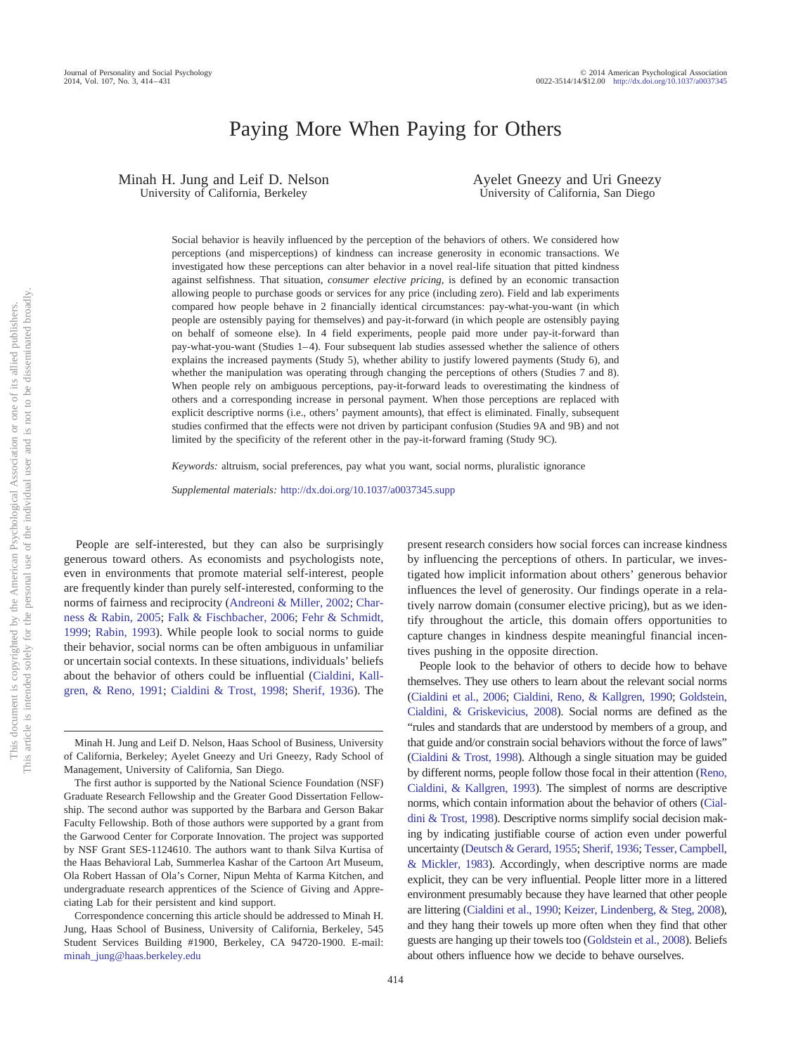# Paying More When Paying for Others

Minah H. Jung and Leif D. Nelson University of California, Berkeley

Ayelet Gneezy and Uri Gneezy University of California, San Diego

Social behavior is heavily influenced by the perception of the behaviors of others. We considered how perceptions (and misperceptions) of kindness can increase generosity in economic transactions. We investigated how these perceptions can alter behavior in a novel real-life situation that pitted kindness against selfishness. That situation, *consumer elective pricing*, is defined by an economic transaction allowing people to purchase goods or services for any price (including zero). Field and lab experiments compared how people behave in 2 financially identical circumstances: pay-what-you-want (in which people are ostensibly paying for themselves) and pay-it-forward (in which people are ostensibly paying on behalf of someone else). In 4 field experiments, people paid more under pay-it-forward than pay-what-you-want (Studies 1– 4). Four subsequent lab studies assessed whether the salience of others explains the increased payments (Study 5), whether ability to justify lowered payments (Study 6), and whether the manipulation was operating through changing the perceptions of others (Studies 7 and 8). When people rely on ambiguous perceptions, pay-it-forward leads to overestimating the kindness of others and a corresponding increase in personal payment. When those perceptions are replaced with explicit descriptive norms (i.e., others' payment amounts), that effect is eliminated. Finally, subsequent studies confirmed that the effects were not driven by participant confusion (Studies 9A and 9B) and not limited by the specificity of the referent other in the pay-it-forward framing (Study 9C).

*Keywords:* altruism, social preferences, pay what you want, social norms, pluralistic ignorance

*Supplemental materials:* http://dx.doi.org/10.1037/a0037345.supp

People are self-interested, but they can also be surprisingly generous toward others. As economists and psychologists note, even in environments that promote material self-interest, people are frequently kinder than purely self-interested, conforming to the norms of fairness and reciprocity (Andreoni & Miller, 2002; Charness & Rabin, 2005; Falk & Fischbacher, 2006; Fehr & Schmidt, 1999; Rabin, 1993). While people look to social norms to guide their behavior, social norms can be often ambiguous in unfamiliar or uncertain social contexts. In these situations, individuals' beliefs about the behavior of others could be influential (Cialdini, Kallgren, & Reno, 1991; Cialdini & Trost, 1998; Sherif, 1936). The

present research considers how social forces can increase kindness by influencing the perceptions of others. In particular, we investigated how implicit information about others' generous behavior influences the level of generosity. Our findings operate in a relatively narrow domain (consumer elective pricing), but as we identify throughout the article, this domain offers opportunities to capture changes in kindness despite meaningful financial incentives pushing in the opposite direction.

People look to the behavior of others to decide how to behave themselves. They use others to learn about the relevant social norms (Cialdini et al., 2006; Cialdini, Reno, & Kallgren, 1990; Goldstein, Cialdini, & Griskevicius, 2008). Social norms are defined as the "rules and standards that are understood by members of a group, and that guide and/or constrain social behaviors without the force of laws" (Cialdini & Trost, 1998). Although a single situation may be guided by different norms, people follow those focal in their attention (Reno, Cialdini, & Kallgren, 1993). The simplest of norms are descriptive norms, which contain information about the behavior of others (Cialdini & Trost, 1998). Descriptive norms simplify social decision making by indicating justifiable course of action even under powerful uncertainty (Deutsch & Gerard, 1955; Sherif, 1936; Tesser, Campbell, & Mickler, 1983). Accordingly, when descriptive norms are made explicit, they can be very influential. People litter more in a littered environment presumably because they have learned that other people are littering (Cialdini et al., 1990; Keizer, Lindenberg, & Steg, 2008), and they hang their towels up more often when they find that other guests are hanging up their towels too (Goldstein et al., 2008). Beliefs about others influence how we decide to behave ourselves.

Minah H. Jung and Leif D. Nelson, Haas School of Business, University of California, Berkeley; Ayelet Gneezy and Uri Gneezy, Rady School of Management, University of California, San Diego.

The first author is supported by the National Science Foundation (NSF) Graduate Research Fellowship and the Greater Good Dissertation Fellowship. The second author was supported by the Barbara and Gerson Bakar Faculty Fellowship. Both of those authors were supported by a grant from the Garwood Center for Corporate Innovation. The project was supported by NSF Grant SES-1124610. The authors want to thank Silva Kurtisa of the Haas Behavioral Lab, Summerlea Kashar of the Cartoon Art Museum, Ola Robert Hassan of Ola's Corner, Nipun Mehta of Karma Kitchen, and undergraduate research apprentices of the Science of Giving and Appreciating Lab for their persistent and kind support.

Correspondence concerning this article should be addressed to Minah H. Jung, Haas School of Business, University of California, Berkeley, 545 Student Services Building #1900, Berkeley, CA 94720-1900. E-mail: minah\_jung@haas.berkeley.edu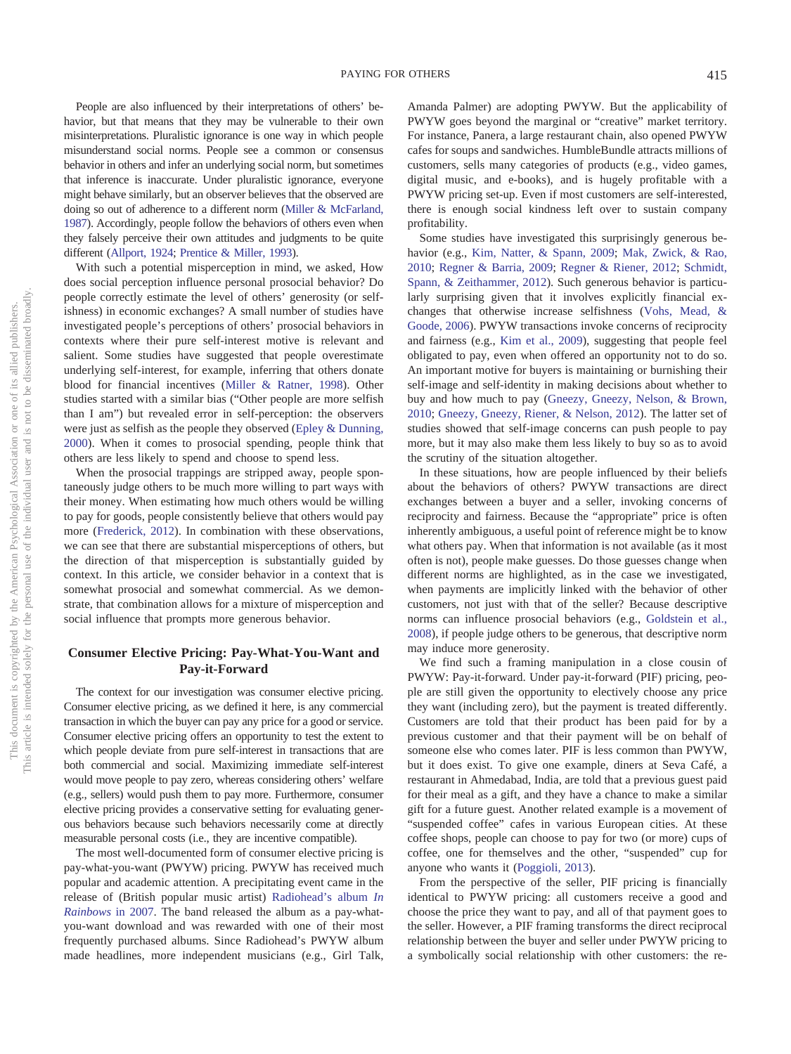People are also influenced by their interpretations of others' behavior, but that means that they may be vulnerable to their own misinterpretations. Pluralistic ignorance is one way in which people misunderstand social norms. People see a common or consensus behavior in others and infer an underlying social norm, but sometimes that inference is inaccurate. Under pluralistic ignorance, everyone might behave similarly, but an observer believes that the observed are doing so out of adherence to a different norm (Miller & McFarland, 1987). Accordingly, people follow the behaviors of others even when they falsely perceive their own attitudes and judgments to be quite different (Allport, 1924; Prentice & Miller, 1993).

With such a potential misperception in mind, we asked, How does social perception influence personal prosocial behavior? Do people correctly estimate the level of others' generosity (or selfishness) in economic exchanges? A small number of studies have investigated people's perceptions of others' prosocial behaviors in contexts where their pure self-interest motive is relevant and salient. Some studies have suggested that people overestimate underlying self-interest, for example, inferring that others donate blood for financial incentives (Miller & Ratner, 1998). Other studies started with a similar bias ("Other people are more selfish than I am") but revealed error in self-perception: the observers were just as selfish as the people they observed (Epley & Dunning, 2000). When it comes to prosocial spending, people think that others are less likely to spend and choose to spend less.

When the prosocial trappings are stripped away, people spontaneously judge others to be much more willing to part ways with their money. When estimating how much others would be willing to pay for goods, people consistently believe that others would pay more (Frederick, 2012). In combination with these observations, we can see that there are substantial misperceptions of others, but the direction of that misperception is substantially guided by context. In this article, we consider behavior in a context that is somewhat prosocial and somewhat commercial. As we demonstrate, that combination allows for a mixture of misperception and social influence that prompts more generous behavior.

### **Consumer Elective Pricing: Pay-What-You-Want and Pay-it-Forward**

The context for our investigation was consumer elective pricing. Consumer elective pricing, as we defined it here, is any commercial transaction in which the buyer can pay any price for a good or service. Consumer elective pricing offers an opportunity to test the extent to which people deviate from pure self-interest in transactions that are both commercial and social. Maximizing immediate self-interest would move people to pay zero, whereas considering others' welfare (e.g., sellers) would push them to pay more. Furthermore, consumer elective pricing provides a conservative setting for evaluating generous behaviors because such behaviors necessarily come at directly measurable personal costs (i.e., they are incentive compatible).

The most well-documented form of consumer elective pricing is pay-what-you-want (PWYW) pricing. PWYW has received much popular and academic attention. A precipitating event came in the release of (British popular music artist) Radiohead's album *In Rainbows* in 2007. The band released the album as a pay-whatyou-want download and was rewarded with one of their most frequently purchased albums. Since Radiohead's PWYW album made headlines, more independent musicians (e.g., Girl Talk,

Amanda Palmer) are adopting PWYW. But the applicability of PWYW goes beyond the marginal or "creative" market territory. For instance, Panera, a large restaurant chain, also opened PWYW cafes for soups and sandwiches. HumbleBundle attracts millions of customers, sells many categories of products (e.g., video games, digital music, and e-books), and is hugely profitable with a PWYW pricing set-up. Even if most customers are self-interested, there is enough social kindness left over to sustain company profitability.

Some studies have investigated this surprisingly generous behavior (e.g., Kim, Natter, & Spann, 2009; Mak, Zwick, & Rao, 2010; Regner & Barria, 2009; Regner & Riener, 2012; Schmidt, Spann, & Zeithammer, 2012). Such generous behavior is particularly surprising given that it involves explicitly financial exchanges that otherwise increase selfishness (Vohs, Mead, & Goode, 2006). PWYW transactions invoke concerns of reciprocity and fairness (e.g., Kim et al., 2009), suggesting that people feel obligated to pay, even when offered an opportunity not to do so. An important motive for buyers is maintaining or burnishing their self-image and self-identity in making decisions about whether to buy and how much to pay (Gneezy, Gneezy, Nelson, & Brown, 2010; Gneezy, Gneezy, Riener, & Nelson, 2012). The latter set of studies showed that self-image concerns can push people to pay more, but it may also make them less likely to buy so as to avoid the scrutiny of the situation altogether.

In these situations, how are people influenced by their beliefs about the behaviors of others? PWYW transactions are direct exchanges between a buyer and a seller, invoking concerns of reciprocity and fairness. Because the "appropriate" price is often inherently ambiguous, a useful point of reference might be to know what others pay. When that information is not available (as it most often is not), people make guesses. Do those guesses change when different norms are highlighted, as in the case we investigated, when payments are implicitly linked with the behavior of other customers, not just with that of the seller? Because descriptive norms can influence prosocial behaviors (e.g., Goldstein et al., 2008), if people judge others to be generous, that descriptive norm may induce more generosity.

We find such a framing manipulation in a close cousin of PWYW: Pay-it-forward. Under pay-it-forward (PIF) pricing, people are still given the opportunity to electively choose any price they want (including zero), but the payment is treated differently. Customers are told that their product has been paid for by a previous customer and that their payment will be on behalf of someone else who comes later. PIF is less common than PWYW, but it does exist. To give one example, diners at Seva Café, a restaurant in Ahmedabad, India, are told that a previous guest paid for their meal as a gift, and they have a chance to make a similar gift for a future guest. Another related example is a movement of "suspended coffee" cafes in various European cities. At these coffee shops, people can choose to pay for two (or more) cups of coffee, one for themselves and the other, "suspended" cup for anyone who wants it (Poggioli, 2013).

From the perspective of the seller, PIF pricing is financially identical to PWYW pricing: all customers receive a good and choose the price they want to pay, and all of that payment goes to the seller. However, a PIF framing transforms the direct reciprocal relationship between the buyer and seller under PWYW pricing to a symbolically social relationship with other customers: the re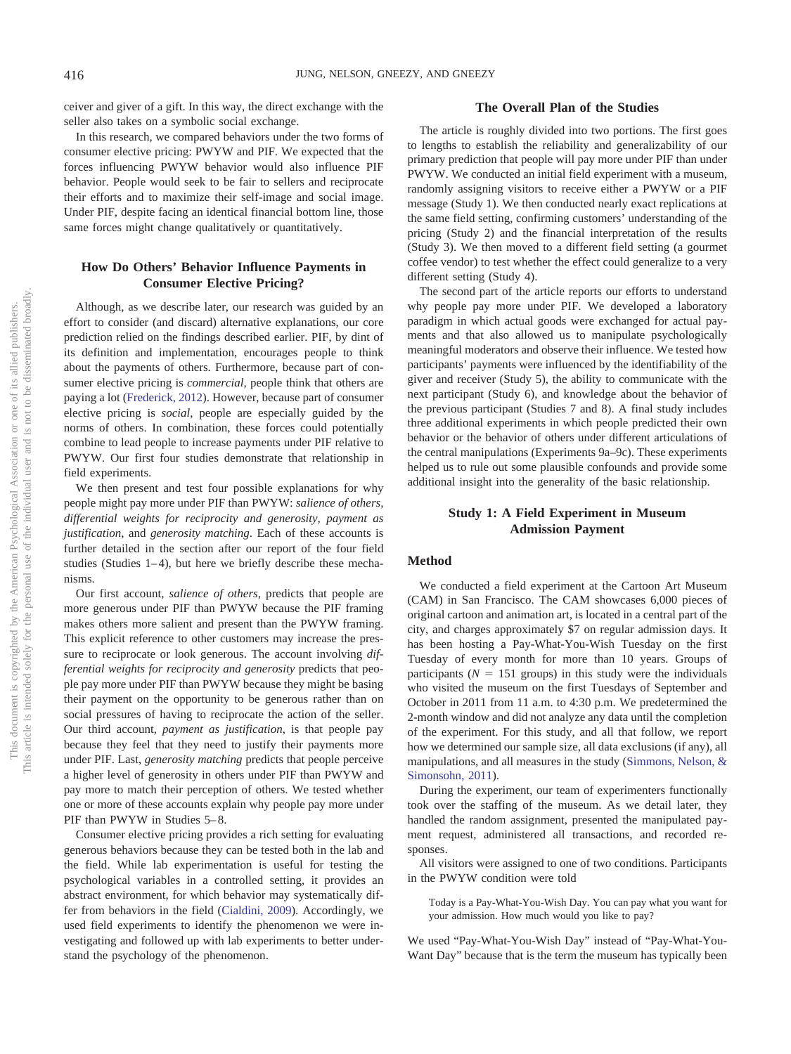ceiver and giver of a gift. In this way, the direct exchange with the seller also takes on a symbolic social exchange.

In this research, we compared behaviors under the two forms of consumer elective pricing: PWYW and PIF. We expected that the forces influencing PWYW behavior would also influence PIF behavior. People would seek to be fair to sellers and reciprocate their efforts and to maximize their self-image and social image. Under PIF, despite facing an identical financial bottom line, those same forces might change qualitatively or quantitatively.

# **How Do Others' Behavior Influence Payments in Consumer Elective Pricing?**

Although, as we describe later, our research was guided by an effort to consider (and discard) alternative explanations, our core prediction relied on the findings described earlier. PIF, by dint of its definition and implementation, encourages people to think about the payments of others. Furthermore, because part of consumer elective pricing is *commercial*, people think that others are paying a lot (Frederick, 2012). However, because part of consumer elective pricing is *social*, people are especially guided by the norms of others. In combination, these forces could potentially combine to lead people to increase payments under PIF relative to PWYW. Our first four studies demonstrate that relationship in field experiments.

We then present and test four possible explanations for why people might pay more under PIF than PWYW: *salience of others, differential weights for reciprocity and generosity, payment as justification,* and *generosity matching*. Each of these accounts is further detailed in the section after our report of the four field studies (Studies  $1-4$ ), but here we briefly describe these mechanisms.

Our first account, *salience of others,* predicts that people are more generous under PIF than PWYW because the PIF framing makes others more salient and present than the PWYW framing. This explicit reference to other customers may increase the pressure to reciprocate or look generous. The account involving *differential weights for reciprocity and generosity* predicts that people pay more under PIF than PWYW because they might be basing their payment on the opportunity to be generous rather than on social pressures of having to reciprocate the action of the seller. Our third account, *payment as justification*, is that people pay because they feel that they need to justify their payments more under PIF. Last, *generosity matching* predicts that people perceive a higher level of generosity in others under PIF than PWYW and pay more to match their perception of others. We tested whether one or more of these accounts explain why people pay more under PIF than PWYW in Studies 5–8.

Consumer elective pricing provides a rich setting for evaluating generous behaviors because they can be tested both in the lab and the field. While lab experimentation is useful for testing the psychological variables in a controlled setting, it provides an abstract environment, for which behavior may systematically differ from behaviors in the field (Cialdini, 2009). Accordingly, we used field experiments to identify the phenomenon we were investigating and followed up with lab experiments to better understand the psychology of the phenomenon.

#### **The Overall Plan of the Studies**

The article is roughly divided into two portions. The first goes to lengths to establish the reliability and generalizability of our primary prediction that people will pay more under PIF than under PWYW. We conducted an initial field experiment with a museum, randomly assigning visitors to receive either a PWYW or a PIF message (Study 1). We then conducted nearly exact replications at the same field setting, confirming customers' understanding of the pricing (Study 2) and the financial interpretation of the results (Study 3). We then moved to a different field setting (a gourmet coffee vendor) to test whether the effect could generalize to a very different setting (Study 4).

The second part of the article reports our efforts to understand why people pay more under PIF. We developed a laboratory paradigm in which actual goods were exchanged for actual payments and that also allowed us to manipulate psychologically meaningful moderators and observe their influence. We tested how participants' payments were influenced by the identifiability of the giver and receiver (Study 5), the ability to communicate with the next participant (Study 6), and knowledge about the behavior of the previous participant (Studies 7 and 8). A final study includes three additional experiments in which people predicted their own behavior or the behavior of others under different articulations of the central manipulations (Experiments 9a–9c). These experiments helped us to rule out some plausible confounds and provide some additional insight into the generality of the basic relationship.

# **Study 1: A Field Experiment in Museum Admission Payment**

#### **Method**

We conducted a field experiment at the Cartoon Art Museum (CAM) in San Francisco. The CAM showcases 6,000 pieces of original cartoon and animation art, is located in a central part of the city, and charges approximately \$7 on regular admission days. It has been hosting a Pay-What-You-Wish Tuesday on the first Tuesday of every month for more than 10 years. Groups of participants ( $N = 151$  groups) in this study were the individuals who visited the museum on the first Tuesdays of September and October in 2011 from 11 a.m. to 4:30 p.m. We predetermined the 2-month window and did not analyze any data until the completion of the experiment. For this study, and all that follow, we report how we determined our sample size, all data exclusions (if any), all manipulations, and all measures in the study (Simmons, Nelson, & Simonsohn, 2011).

During the experiment, our team of experimenters functionally took over the staffing of the museum. As we detail later, they handled the random assignment, presented the manipulated payment request, administered all transactions, and recorded responses.

All visitors were assigned to one of two conditions. Participants in the PWYW condition were told

Today is a Pay-What-You-Wish Day. You can pay what you want for your admission. How much would you like to pay?

We used "Pay-What-You-Wish Day" instead of "Pay-What-You-Want Day" because that is the term the museum has typically been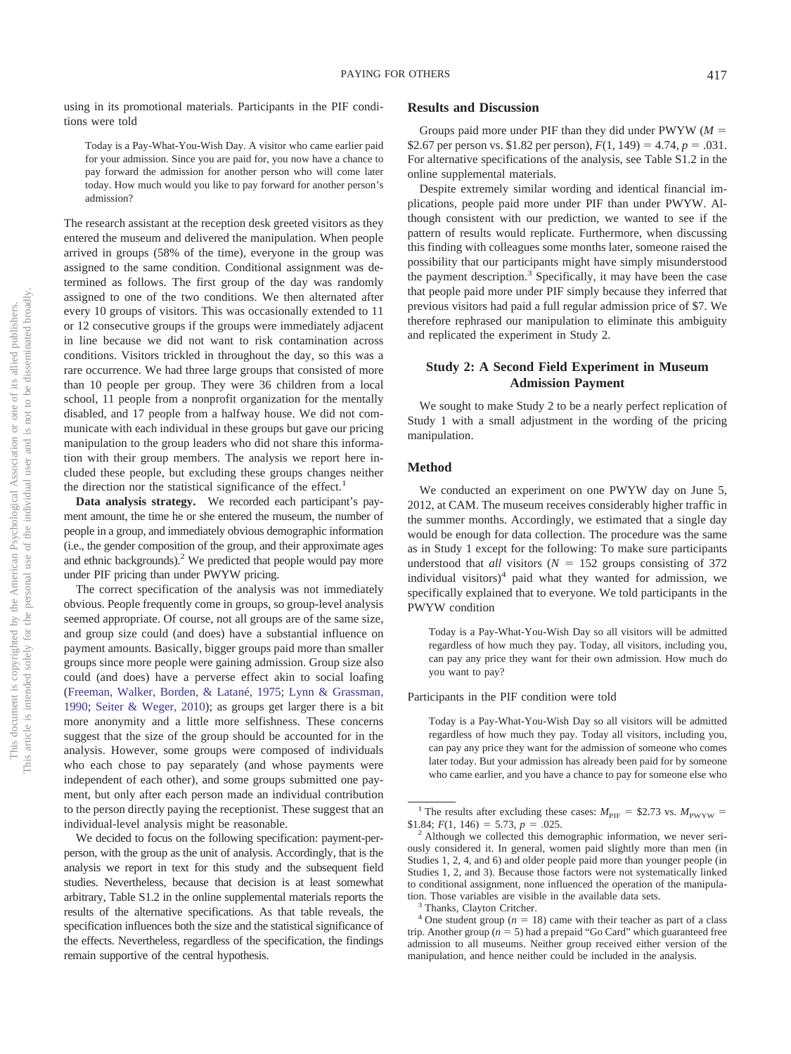using in its promotional materials. Participants in the PIF conditions were told

Today is a Pay-What-You-Wish Day. A visitor who came earlier paid for your admission. Since you are paid for, you now have a chance to pay forward the admission for another person who will come later today. How much would you like to pay forward for another person's admission?

The research assistant at the reception desk greeted visitors as they entered the museum and delivered the manipulation. When people arrived in groups (58% of the time), everyone in the group was assigned to the same condition. Conditional assignment was determined as follows. The first group of the day was randomly assigned to one of the two conditions. We then alternated after every 10 groups of visitors. This was occasionally extended to 11 or 12 consecutive groups if the groups were immediately adjacent in line because we did not want to risk contamination across conditions. Visitors trickled in throughout the day, so this was a rare occurrence. We had three large groups that consisted of more than 10 people per group. They were 36 children from a local school, 11 people from a nonprofit organization for the mentally disabled, and 17 people from a halfway house. We did not communicate with each individual in these groups but gave our pricing manipulation to the group leaders who did not share this information with their group members. The analysis we report here included these people, but excluding these groups changes neither the direction nor the statistical significance of the effect.<sup>1</sup>

**Data analysis strategy.** We recorded each participant's payment amount, the time he or she entered the museum, the number of people in a group, and immediately obvious demographic information (i.e., the gender composition of the group, and their approximate ages and ethnic backgrounds).<sup>2</sup> We predicted that people would pay more under PIF pricing than under PWYW pricing.

The correct specification of the analysis was not immediately obvious. People frequently come in groups, so group-level analysis seemed appropriate. Of course, not all groups are of the same size, and group size could (and does) have a substantial influence on payment amounts. Basically, bigger groups paid more than smaller groups since more people were gaining admission. Group size also could (and does) have a perverse effect akin to social loafing (Freeman, Walker, Borden, & Latané, 1975; Lynn & Grassman, 1990; Seiter & Weger, 2010); as groups get larger there is a bit more anonymity and a little more selfishness. These concerns suggest that the size of the group should be accounted for in the analysis. However, some groups were composed of individuals who each chose to pay separately (and whose payments were independent of each other), and some groups submitted one payment, but only after each person made an individual contribution to the person directly paying the receptionist. These suggest that an individual-level analysis might be reasonable.

We decided to focus on the following specification: payment-perperson, with the group as the unit of analysis. Accordingly, that is the analysis we report in text for this study and the subsequent field studies. Nevertheless, because that decision is at least somewhat arbitrary, Table S1.2 in the online supplemental materials reports the results of the alternative specifications. As that table reveals, the specification influences both the size and the statistical significance of the effects. Nevertheless, regardless of the specification, the findings remain supportive of the central hypothesis.

#### **Results and Discussion**

Groups paid more under PIF than they did under  $PWYW$  ( $M =$ \$2.67 per person vs. \$1.82 per person),  $F(1, 149) = 4.74$ ,  $p = .031$ . For alternative specifications of the analysis, see Table S1.2 in the online supplemental materials.

Despite extremely similar wording and identical financial implications, people paid more under PIF than under PWYW. Although consistent with our prediction, we wanted to see if the pattern of results would replicate. Furthermore, when discussing this finding with colleagues some months later, someone raised the possibility that our participants might have simply misunderstood the payment description. $3$  Specifically, it may have been the case that people paid more under PIF simply because they inferred that previous visitors had paid a full regular admission price of \$7. We therefore rephrased our manipulation to eliminate this ambiguity and replicated the experiment in Study 2.

# **Study 2: A Second Field Experiment in Museum Admission Payment**

We sought to make Study 2 to be a nearly perfect replication of Study 1 with a small adjustment in the wording of the pricing manipulation.

### **Method**

We conducted an experiment on one PWYW day on June 5, 2012, at CAM. The museum receives considerably higher traffic in the summer months. Accordingly, we estimated that a single day would be enough for data collection. The procedure was the same as in Study 1 except for the following: To make sure participants understood that *all* visitors ( $N = 152$  groups consisting of 372 individual visitors) $4$  paid what they wanted for admission, we specifically explained that to everyone. We told participants in the PWYW condition

Today is a Pay-What-You-Wish Day so all visitors will be admitted regardless of how much they pay. Today, all visitors, including you, can pay any price they want for their own admission. How much do you want to pay?

Participants in the PIF condition were told

Today is a Pay-What-You-Wish Day so all visitors will be admitted regardless of how much they pay. Today all visitors, including you, can pay any price they want for the admission of someone who comes later today. But your admission has already been paid for by someone who came earlier, and you have a chance to pay for someone else who

<sup>4</sup> One student group ( $n = 18$ ) came with their teacher as part of a class trip. Another group  $(n = 5)$  had a prepaid "Go Card" which guaranteed free admission to all museums. Neither group received either version of the manipulation, and hence neither could be included in the analysis.

<sup>&</sup>lt;sup>1</sup> The results after excluding these cases:  $M_{\text{PIF}} = $2.73$  vs.  $M_{\text{PWYW}} =$  $$1.84; F(1, 146) = 5.73, p =$ 

Although we collected this demographic information, we never seriously considered it. In general, women paid slightly more than men (in Studies 1, 2, 4, and 6) and older people paid more than younger people (in Studies 1, 2, and 3). Because those factors were not systematically linked to conditional assignment, none influenced the operation of the manipulation. Those variables are visible in the available data sets. <sup>3</sup> Thanks, Clayton Critcher.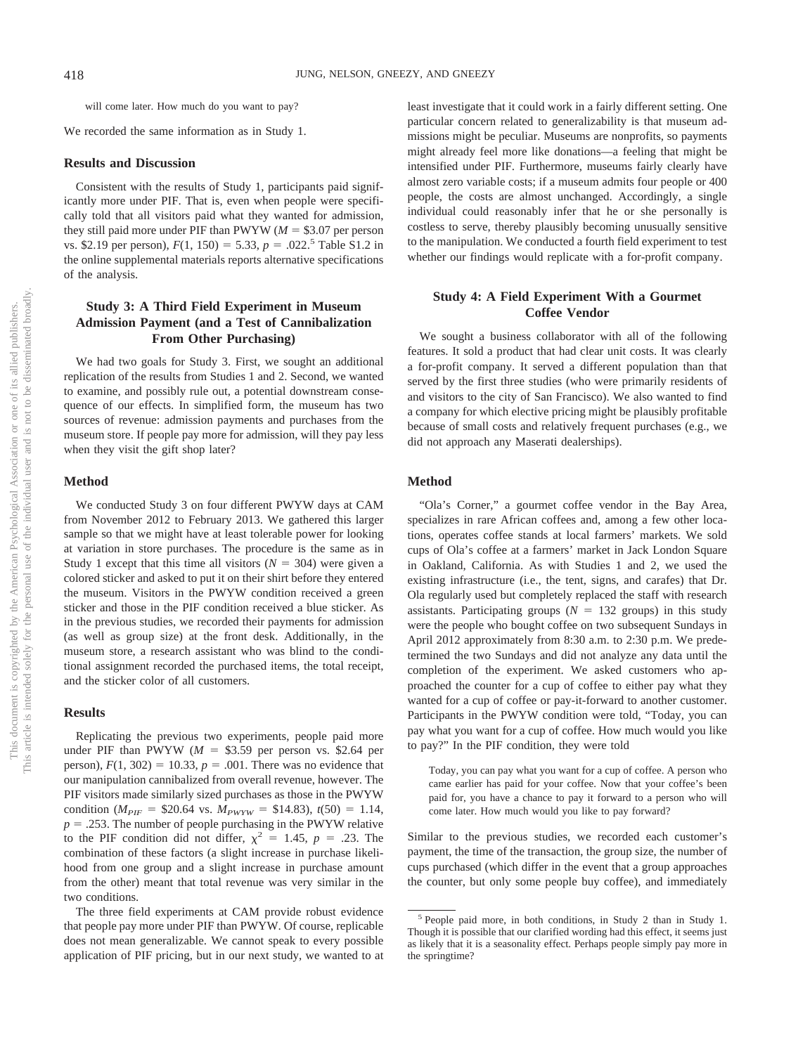will come later. How much do you want to pay?

We recorded the same information as in Study 1.

#### **Results and Discussion**

Consistent with the results of Study 1, participants paid significantly more under PIF. That is, even when people were specifically told that all visitors paid what they wanted for admission, they still paid more under PIF than  $PWYW$  ( $M = $3.07$  per person vs. \$2.19 per person),  $F(1, 150) = 5.33$ ,  $p = .022$ .<sup>5</sup> Table S1.2 in the online supplemental materials reports alternative specifications of the analysis.

# **Study 3: A Third Field Experiment in Museum Admission Payment (and a Test of Cannibalization From Other Purchasing)**

We had two goals for Study 3. First, we sought an additional replication of the results from Studies 1 and 2. Second, we wanted to examine, and possibly rule out, a potential downstream consequence of our effects. In simplified form, the museum has two sources of revenue: admission payments and purchases from the museum store. If people pay more for admission, will they pay less when they visit the gift shop later?

#### **Method**

We conducted Study 3 on four different PWYW days at CAM from November 2012 to February 2013. We gathered this larger sample so that we might have at least tolerable power for looking at variation in store purchases. The procedure is the same as in Study 1 except that this time all visitors  $(N = 304)$  were given a colored sticker and asked to put it on their shirt before they entered the museum. Visitors in the PWYW condition received a green sticker and those in the PIF condition received a blue sticker. As in the previous studies, we recorded their payments for admission (as well as group size) at the front desk. Additionally, in the museum store, a research assistant who was blind to the conditional assignment recorded the purchased items, the total receipt, and the sticker color of all customers.

#### **Results**

Replicating the previous two experiments, people paid more under PIF than PWYW  $(M = $3.59$  per person vs. \$2.64 per person),  $F(1, 302) = 10.33$ ,  $p = .001$ . There was no evidence that our manipulation cannibalized from overall revenue, however. The PIF visitors made similarly sized purchases as those in the PWYW condition ( $M_{PIF} = $20.64$  vs.  $M_{PWYW} = $14.83$ ),  $t(50) = 1.14$ ,  $p = 0.253$ . The number of people purchasing in the PWYW relative to the PIF condition did not differ,  $\chi^2 = 1.45$ ,  $p = .23$ . The combination of these factors (a slight increase in purchase likelihood from one group and a slight increase in purchase amount from the other) meant that total revenue was very similar in the two conditions.

The three field experiments at CAM provide robust evidence that people pay more under PIF than PWYW. Of course, replicable does not mean generalizable. We cannot speak to every possible application of PIF pricing, but in our next study, we wanted to at least investigate that it could work in a fairly different setting. One particular concern related to generalizability is that museum admissions might be peculiar. Museums are nonprofits, so payments might already feel more like donations—a feeling that might be intensified under PIF. Furthermore, museums fairly clearly have almost zero variable costs; if a museum admits four people or 400 people, the costs are almost unchanged. Accordingly, a single individual could reasonably infer that he or she personally is costless to serve, thereby plausibly becoming unusually sensitive to the manipulation. We conducted a fourth field experiment to test whether our findings would replicate with a for-profit company.

## **Study 4: A Field Experiment With a Gourmet Coffee Vendor**

We sought a business collaborator with all of the following features. It sold a product that had clear unit costs. It was clearly a for-profit company. It served a different population than that served by the first three studies (who were primarily residents of and visitors to the city of San Francisco). We also wanted to find a company for which elective pricing might be plausibly profitable because of small costs and relatively frequent purchases (e.g., we did not approach any Maserati dealerships).

# **Method**

"Ola's Corner," a gourmet coffee vendor in the Bay Area, specializes in rare African coffees and, among a few other locations, operates coffee stands at local farmers' markets. We sold cups of Ola's coffee at a farmers' market in Jack London Square in Oakland, California. As with Studies 1 and 2, we used the existing infrastructure (i.e., the tent, signs, and carafes) that Dr. Ola regularly used but completely replaced the staff with research assistants. Participating groups  $(N = 132$  groups) in this study were the people who bought coffee on two subsequent Sundays in April 2012 approximately from 8:30 a.m. to 2:30 p.m. We predetermined the two Sundays and did not analyze any data until the completion of the experiment. We asked customers who approached the counter for a cup of coffee to either pay what they wanted for a cup of coffee or pay-it-forward to another customer. Participants in the PWYW condition were told, "Today, you can pay what you want for a cup of coffee. How much would you like to pay?" In the PIF condition, they were told

Today, you can pay what you want for a cup of coffee. A person who came earlier has paid for your coffee. Now that your coffee's been paid for, you have a chance to pay it forward to a person who will come later. How much would you like to pay forward?

Similar to the previous studies, we recorded each customer's payment, the time of the transaction, the group size, the number of cups purchased (which differ in the event that a group approaches the counter, but only some people buy coffee), and immediately

<sup>5</sup> People paid more, in both conditions, in Study 2 than in Study 1. Though it is possible that our clarified wording had this effect, it seems just as likely that it is a seasonality effect. Perhaps people simply pay more in the springtime?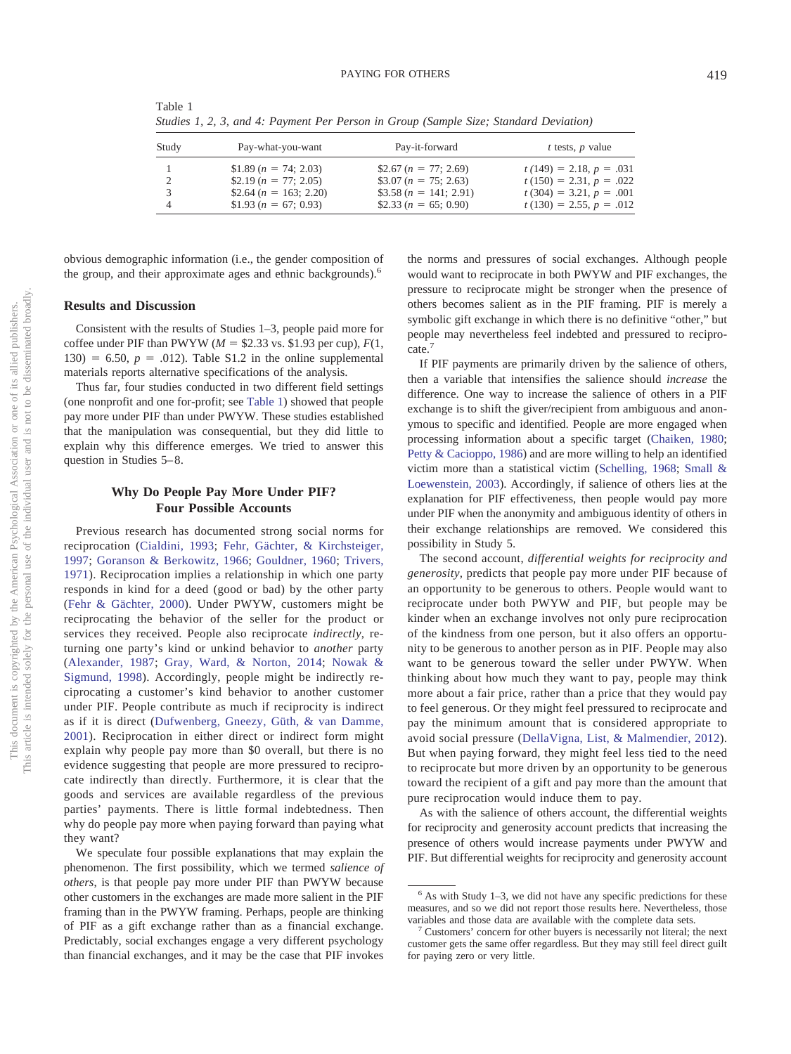| Study | Pay-what-you-want         | Pay-it-forward            | $t$ tests, $p$ value      |
|-------|---------------------------|---------------------------|---------------------------|
|       | \$1.89 $(n = 74; 2.03)$   | \$2.67 ( $n = 77$ ; 2.69) | $t(149) = 2.18, p = .031$ |
|       | \$2.19 ( $n = 77$ ; 2.05) | \$3.07 ( $n = 75$ ; 2.63) | $t(150) = 2.31, p = .022$ |
| 3     | \$2.64 $(n = 163: 2.20)$  | \$3.58 $(n = 141; 2.91)$  | $t(304) = 3.21, p = .001$ |
| 4     | \$1.93 ( $n = 67$ ; 0.93) | \$2.33 $(n = 65: 0.90)$   | $t(130) = 2.55, p = .012$ |

Table 1 *Studies 1, 2, 3, and 4: Payment Per Person in Group (Sample Size; Standard Deviation)*

obvious demographic information (i.e., the gender composition of the group, and their approximate ages and ethnic backgrounds).<sup>6</sup>

#### **Results and Discussion**

Consistent with the results of Studies 1–3, people paid more for coffee under PIF than PWYW ( $M = $2.33$  vs. \$1.93 per cup),  $F(1, 1)$  $130) = 6.50, p = .012$ . Table S1.2 in the online supplemental materials reports alternative specifications of the analysis.

Thus far, four studies conducted in two different field settings (one nonprofit and one for-profit; see Table 1) showed that people pay more under PIF than under PWYW. These studies established that the manipulation was consequential, but they did little to explain why this difference emerges. We tried to answer this question in Studies 5– 8.

# **Why Do People Pay More Under PIF? Four Possible Accounts**

Previous research has documented strong social norms for reciprocation (Cialdini, 1993; Fehr, Gächter, & Kirchsteiger, 1997; Goranson & Berkowitz, 1966; Gouldner, 1960; Trivers, 1971). Reciprocation implies a relationship in which one party responds in kind for a deed (good or bad) by the other party (Fehr & Gächter, 2000). Under PWYW, customers might be reciprocating the behavior of the seller for the product or services they received. People also reciprocate *indirectly*, returning one party's kind or unkind behavior to *another* party (Alexander, 1987; Gray, Ward, & Norton, 2014; Nowak & Sigmund, 1998). Accordingly, people might be indirectly reciprocating a customer's kind behavior to another customer under PIF. People contribute as much if reciprocity is indirect as if it is direct (Dufwenberg, Gneezy, Güth, & van Damme, 2001). Reciprocation in either direct or indirect form might explain why people pay more than \$0 overall, but there is no evidence suggesting that people are more pressured to reciprocate indirectly than directly. Furthermore, it is clear that the goods and services are available regardless of the previous parties' payments. There is little formal indebtedness. Then why do people pay more when paying forward than paying what they want?

We speculate four possible explanations that may explain the phenomenon. The first possibility, which we termed *salience of others*, is that people pay more under PIF than PWYW because other customers in the exchanges are made more salient in the PIF framing than in the PWYW framing. Perhaps, people are thinking of PIF as a gift exchange rather than as a financial exchange. Predictably, social exchanges engage a very different psychology than financial exchanges, and it may be the case that PIF invokes

the norms and pressures of social exchanges. Although people would want to reciprocate in both PWYW and PIF exchanges, the pressure to reciprocate might be stronger when the presence of others becomes salient as in the PIF framing. PIF is merely a symbolic gift exchange in which there is no definitive "other," but people may nevertheless feel indebted and pressured to reciprocate.7

If PIF payments are primarily driven by the salience of others, then a variable that intensifies the salience should *increase* the difference. One way to increase the salience of others in a PIF exchange is to shift the giver/recipient from ambiguous and anonymous to specific and identified. People are more engaged when processing information about a specific target (Chaiken, 1980; Petty & Cacioppo, 1986) and are more willing to help an identified victim more than a statistical victim (Schelling, 1968; Small & Loewenstein, 2003). Accordingly, if salience of others lies at the explanation for PIF effectiveness, then people would pay more under PIF when the anonymity and ambiguous identity of others in their exchange relationships are removed. We considered this possibility in Study 5.

The second account, *differential weights for reciprocity and generosity,* predicts that people pay more under PIF because of an opportunity to be generous to others. People would want to reciprocate under both PWYW and PIF, but people may be kinder when an exchange involves not only pure reciprocation of the kindness from one person, but it also offers an opportunity to be generous to another person as in PIF. People may also want to be generous toward the seller under PWYW. When thinking about how much they want to pay, people may think more about a fair price, rather than a price that they would pay to feel generous. Or they might feel pressured to reciprocate and pay the minimum amount that is considered appropriate to avoid social pressure (DellaVigna, List, & Malmendier, 2012). But when paying forward, they might feel less tied to the need to reciprocate but more driven by an opportunity to be generous toward the recipient of a gift and pay more than the amount that pure reciprocation would induce them to pay.

As with the salience of others account, the differential weights for reciprocity and generosity account predicts that increasing the presence of others would increase payments under PWYW and PIF. But differential weights for reciprocity and generosity account

 $6$  As with Study 1–3, we did not have any specific predictions for these measures, and so we did not report those results here. Nevertheless, those variables and those data are available with the complete data sets.

 $\alpha$ <sup>7</sup> Customers' concern for other buyers is necessarily not literal; the next customer gets the same offer regardless. But they may still feel direct guilt for paying zero or very little.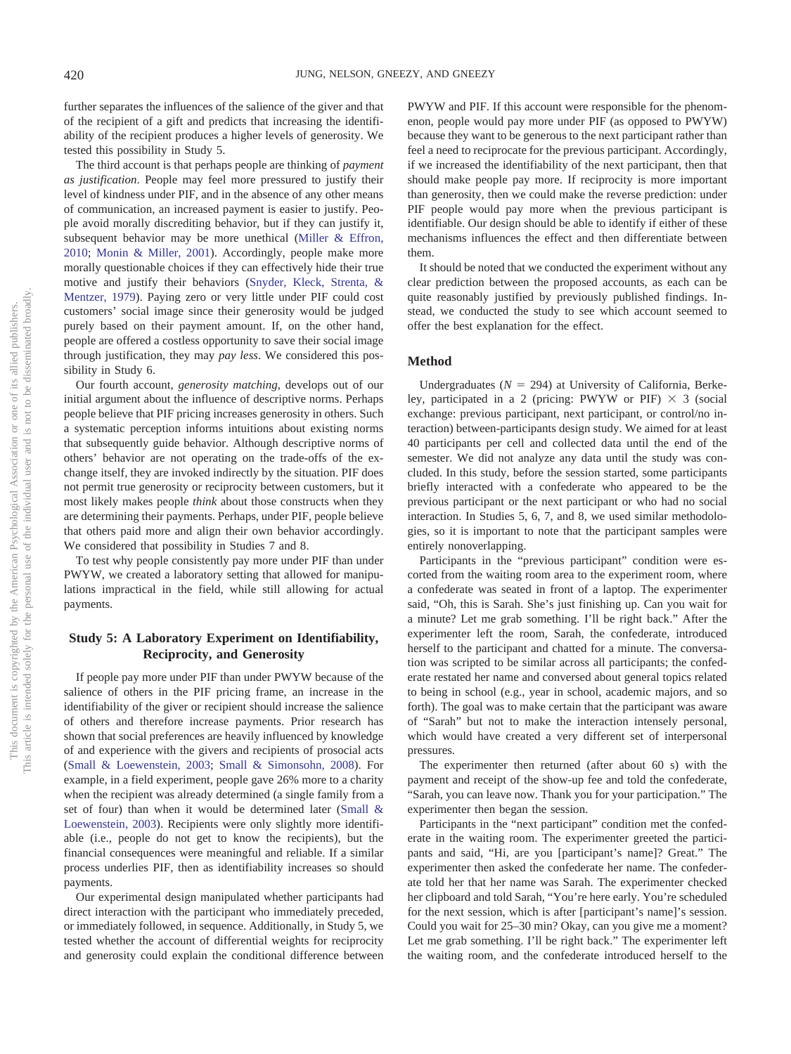further separates the influences of the salience of the giver and that of the recipient of a gift and predicts that increasing the identifiability of the recipient produces a higher levels of generosity. We tested this possibility in Study 5.

The third account is that perhaps people are thinking of *payment as justification*. People may feel more pressured to justify their level of kindness under PIF, and in the absence of any other means of communication, an increased payment is easier to justify. People avoid morally discrediting behavior, but if they can justify it, subsequent behavior may be more unethical (Miller & Effron, 2010; Monin & Miller, 2001). Accordingly, people make more morally questionable choices if they can effectively hide their true motive and justify their behaviors (Snyder, Kleck, Strenta, & Mentzer, 1979). Paying zero or very little under PIF could cost customers' social image since their generosity would be judged purely based on their payment amount. If, on the other hand, people are offered a costless opportunity to save their social image through justification, they may *pay less*. We considered this possibility in Study 6.

Our fourth account, *generosity matching*, develops out of our initial argument about the influence of descriptive norms. Perhaps people believe that PIF pricing increases generosity in others. Such a systematic perception informs intuitions about existing norms that subsequently guide behavior. Although descriptive norms of others' behavior are not operating on the trade-offs of the exchange itself, they are invoked indirectly by the situation. PIF does not permit true generosity or reciprocity between customers, but it most likely makes people *think* about those constructs when they are determining their payments. Perhaps, under PIF, people believe that others paid more and align their own behavior accordingly. We considered that possibility in Studies 7 and 8.

To test why people consistently pay more under PIF than under PWYW, we created a laboratory setting that allowed for manipulations impractical in the field, while still allowing for actual payments.

### **Study 5: A Laboratory Experiment on Identifiability, Reciprocity, and Generosity**

If people pay more under PIF than under PWYW because of the salience of others in the PIF pricing frame, an increase in the identifiability of the giver or recipient should increase the salience of others and therefore increase payments. Prior research has shown that social preferences are heavily influenced by knowledge of and experience with the givers and recipients of prosocial acts (Small & Loewenstein, 2003; Small & Simonsohn, 2008). For example, in a field experiment, people gave 26% more to a charity when the recipient was already determined (a single family from a set of four) than when it would be determined later (Small & Loewenstein, 2003). Recipients were only slightly more identifiable (i.e., people do not get to know the recipients), but the financial consequences were meaningful and reliable. If a similar process underlies PIF, then as identifiability increases so should payments.

Our experimental design manipulated whether participants had direct interaction with the participant who immediately preceded, or immediately followed, in sequence. Additionally, in Study 5, we tested whether the account of differential weights for reciprocity and generosity could explain the conditional difference between

PWYW and PIF. If this account were responsible for the phenomenon, people would pay more under PIF (as opposed to PWYW) because they want to be generous to the next participant rather than feel a need to reciprocate for the previous participant. Accordingly, if we increased the identifiability of the next participant, then that should make people pay more. If reciprocity is more important than generosity, then we could make the reverse prediction: under PIF people would pay more when the previous participant is identifiable. Our design should be able to identify if either of these mechanisms influences the effect and then differentiate between them.

It should be noted that we conducted the experiment without any clear prediction between the proposed accounts, as each can be quite reasonably justified by previously published findings. Instead, we conducted the study to see which account seemed to offer the best explanation for the effect.

### **Method**

Undergraduates  $(N = 294)$  at University of California, Berkeley, participated in a 2 (pricing: PWYW or PIF)  $\times$  3 (social exchange: previous participant, next participant, or control/no interaction) between-participants design study. We aimed for at least 40 participants per cell and collected data until the end of the semester. We did not analyze any data until the study was concluded. In this study, before the session started, some participants briefly interacted with a confederate who appeared to be the previous participant or the next participant or who had no social interaction. In Studies 5, 6, 7, and 8, we used similar methodologies, so it is important to note that the participant samples were entirely nonoverlapping.

Participants in the "previous participant" condition were escorted from the waiting room area to the experiment room, where a confederate was seated in front of a laptop. The experimenter said, "Oh, this is Sarah. She's just finishing up. Can you wait for a minute? Let me grab something. I'll be right back." After the experimenter left the room, Sarah, the confederate, introduced herself to the participant and chatted for a minute. The conversation was scripted to be similar across all participants; the confederate restated her name and conversed about general topics related to being in school (e.g., year in school, academic majors, and so forth). The goal was to make certain that the participant was aware of "Sarah" but not to make the interaction intensely personal, which would have created a very different set of interpersonal pressures.

The experimenter then returned (after about 60 s) with the payment and receipt of the show-up fee and told the confederate, "Sarah, you can leave now. Thank you for your participation." The experimenter then began the session.

Participants in the "next participant" condition met the confederate in the waiting room. The experimenter greeted the participants and said, "Hi, are you [participant's name]? Great." The experimenter then asked the confederate her name. The confederate told her that her name was Sarah. The experimenter checked her clipboard and told Sarah, "You're here early. You're scheduled for the next session, which is after [participant's name]'s session. Could you wait for 25–30 min? Okay, can you give me a moment? Let me grab something. I'll be right back." The experimenter left the waiting room, and the confederate introduced herself to the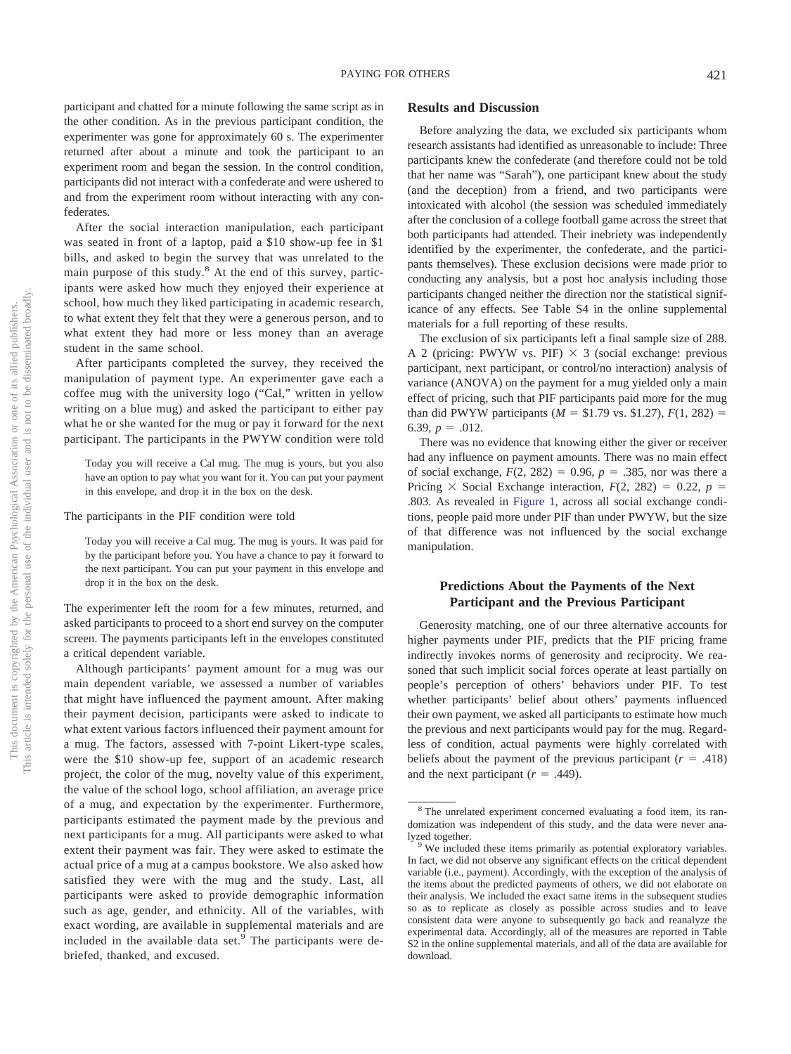participant and chatted for a minute following the same script as in the other condition. As in the previous participant condition, the experimenter was gone for approximately 60 s. The experimenter returned after about a minute and took the participant to an experiment room and began the session. In the control condition, participants did not interact with a confederate and were ushered to and from the experiment room without interacting with any confederates.

After the social interaction manipulation, each participant was seated in front of a laptop, paid a \$10 show-up fee in \$1 bills, and asked to begin the survey that was unrelated to the main purpose of this study.<sup>8</sup> At the end of this survey, participants were asked how much they enjoyed their experience at school, how much they liked participating in academic research, to what extent they felt that they were a generous person, and to what extent they had more or less money than an average student in the same school.

After participants completed the survey, they received the manipulation of payment type. An experimenter gave each a coffee mug with the university logo ("Cal," written in yellow writing on a blue mug) and asked the participant to either pay what he or she wanted for the mug or pay it forward for the next participant. The participants in the PWYW condition were told

Today you will receive a Cal mug. The mug is yours, but you also have an option to pay what you want for it. You can put your payment in this envelope, and drop it in the box on the desk.

The participants in the PIF condition were told

Today you will receive a Cal mug. The mug is yours. It was paid for by the participant before you. You have a chance to pay it forward to the next participant. You can put your payment in this envelope and drop it in the box on the desk.

The experimenter left the room for a few minutes, returned, and asked participants to proceed to a short end survey on the computer screen. The payments participants left in the envelopes constituted a critical dependent variable.

Although participants' payment amount for a mug was our main dependent variable, we assessed a number of variables that might have influenced the payment amount. After making their payment decision, participants were asked to indicate to what extent various factors influenced their payment amount for a mug. The factors, assessed with 7-point Likert-type scales, were the \$10 show-up fee, support of an academic research project, the color of the mug, novelty value of this experiment, the value of the school logo, school affiliation, an average price of a mug, and expectation by the experimenter. Furthermore, participants estimated the payment made by the previous and next participants for a mug. All participants were asked to what extent their payment was fair. They were asked to estimate the actual price of a mug at a campus bookstore. We also asked how satisfied they were with the mug and the study. Last, all participants were asked to provide demographic information such as age, gender, and ethnicity. All of the variables, with exact wording, are available in supplemental materials and are included in the available data set.<sup>9</sup> The participants were debriefed, thanked, and excused.

#### **Results and Discussion**

Before analyzing the data, we excluded six participants whom research assistants had identified as unreasonable to include: Three participants knew the confederate (and therefore could not be told that her name was "Sarah"), one participant knew about the study (and the deception) from a friend, and two participants were intoxicated with alcohol (the session was scheduled immediately after the conclusion of a college football game across the street that both participants had attended. Their inebriety was independently identified by the experimenter, the confederate, and the participants themselves). These exclusion decisions were made prior to conducting any analysis, but a post hoc analysis including those participants changed neither the direction nor the statistical significance of any effects. See Table S4 in the online supplemental materials for a full reporting of these results.

The exclusion of six participants left a final sample size of 288. A 2 (pricing: PWYW vs. PIF)  $\times$  3 (social exchange: previous participant, next participant, or control/no interaction) analysis of variance (ANOVA) on the payment for a mug yielded only a main effect of pricing, such that PIF participants paid more for the mug than did PWYW participants  $(M = $1.79 \text{ vs. } $1.27)$ ,  $F(1, 282) =$ 6.39,  $p = .012$ .

There was no evidence that knowing either the giver or receiver had any influence on payment amounts. There was no main effect of social exchange,  $F(2, 282) = 0.96$ ,  $p = .385$ , nor was there a Pricing  $\times$  Social Exchange interaction,  $F(2, 282) = 0.22$ ,  $p =$ .803. As revealed in Figure 1, across all social exchange conditions, people paid more under PIF than under PWYW, but the size of that difference was not influenced by the social exchange manipulation.

# **Predictions About the Payments of the Next Participant and the Previous Participant**

Generosity matching, one of our three alternative accounts for higher payments under PIF, predicts that the PIF pricing frame indirectly invokes norms of generosity and reciprocity. We reasoned that such implicit social forces operate at least partially on people's perception of others' behaviors under PIF. To test whether participants' belief about others' payments influenced their own payment, we asked all participants to estimate how much the previous and next participants would pay for the mug. Regardless of condition, actual payments were highly correlated with beliefs about the payment of the previous participant  $(r = .418)$ and the next participant  $(r = .449)$ .

<sup>8</sup> The unrelated experiment concerned evaluating a food item, its randomization was independent of this study, and the data were never analyzed together.<br><sup>9</sup> We included these items primarily as potential exploratory variables.

In fact, we did not observe any significant effects on the critical dependent variable (i.e., payment). Accordingly, with the exception of the analysis of the items about the predicted payments of others, we did not elaborate on their analysis. We included the exact same items in the subsequent studies so as to replicate as closely as possible across studies and to leave consistent data were anyone to subsequently go back and reanalyze the experimental data. Accordingly, all of the measures are reported in Table S2 in the online supplemental materials, and all of the data are available for download.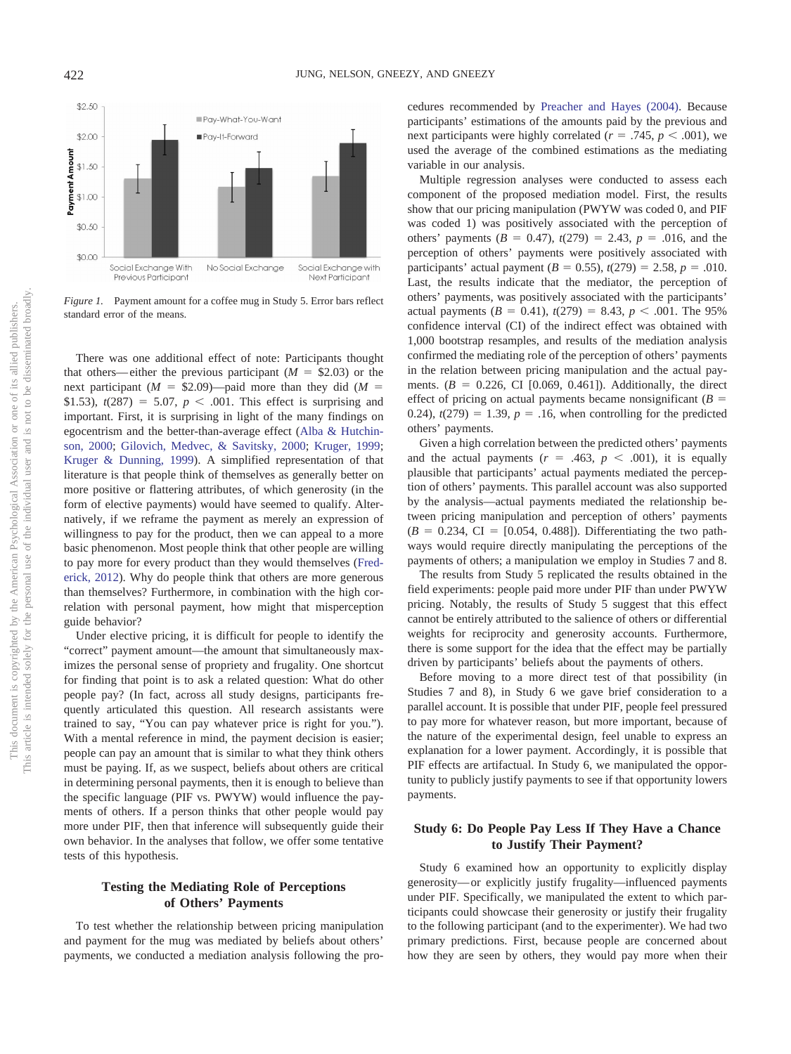

*Figure 1.* Payment amount for a coffee mug in Study 5. Error bars reflect standard error of the means.

There was one additional effect of note: Participants thought that others—either the previous participant  $(M = $2.03)$  or the next participant  $(M = $2.09)$ —paid more than they did  $(M =$ \$1.53),  $t(287) = 5.07$ ,  $p < .001$ . This effect is surprising and important. First, it is surprising in light of the many findings on egocentrism and the better-than-average effect (Alba & Hutchinson, 2000; Gilovich, Medvec, & Savitsky, 2000; Kruger, 1999; Kruger & Dunning, 1999). A simplified representation of that literature is that people think of themselves as generally better on more positive or flattering attributes, of which generosity (in the form of elective payments) would have seemed to qualify. Alternatively, if we reframe the payment as merely an expression of willingness to pay for the product, then we can appeal to a more basic phenomenon. Most people think that other people are willing to pay more for every product than they would themselves (Frederick, 2012). Why do people think that others are more generous than themselves? Furthermore, in combination with the high correlation with personal payment, how might that misperception guide behavior?

Under elective pricing, it is difficult for people to identify the "correct" payment amount—the amount that simultaneously maximizes the personal sense of propriety and frugality. One shortcut for finding that point is to ask a related question: What do other people pay? (In fact, across all study designs, participants frequently articulated this question. All research assistants were trained to say, "You can pay whatever price is right for you."). With a mental reference in mind, the payment decision is easier; people can pay an amount that is similar to what they think others must be paying. If, as we suspect, beliefs about others are critical in determining personal payments, then it is enough to believe than the specific language (PIF vs. PWYW) would influence the payments of others. If a person thinks that other people would pay more under PIF, then that inference will subsequently guide their own behavior. In the analyses that follow, we offer some tentative tests of this hypothesis.

### **Testing the Mediating Role of Perceptions of Others' Payments**

To test whether the relationship between pricing manipulation and payment for the mug was mediated by beliefs about others' payments, we conducted a mediation analysis following the procedures recommended by Preacher and Hayes (2004). Because participants' estimations of the amounts paid by the previous and next participants were highly correlated ( $r = .745$ ,  $p < .001$ ), we used the average of the combined estimations as the mediating variable in our analysis.

Multiple regression analyses were conducted to assess each component of the proposed mediation model. First, the results show that our pricing manipulation (PWYW was coded 0, and PIF was coded 1) was positively associated with the perception of others' payments  $(B = 0.47)$ ,  $t(279) = 2.43$ ,  $p = .016$ , and the perception of others' payments were positively associated with participants' actual payment ( $B = 0.55$ ),  $t(279) = 2.58$ ,  $p = .010$ . Last, the results indicate that the mediator, the perception of others' payments, was positively associated with the participants' actual payments  $(B = 0.41)$ ,  $t(279) = 8.43$ ,  $p < .001$ . The 95% confidence interval (CI) of the indirect effect was obtained with 1,000 bootstrap resamples, and results of the mediation analysis confirmed the mediating role of the perception of others' payments in the relation between pricing manipulation and the actual payments.  $(B = 0.226, CI [0.069, 0.461])$ . Additionally, the direct effect of pricing on actual payments became nonsignificant  $(B =$ 0.24),  $t(279) = 1.39$ ,  $p = .16$ , when controlling for the predicted others' payments.

Given a high correlation between the predicted others' payments and the actual payments  $(r = .463, p < .001)$ , it is equally plausible that participants' actual payments mediated the perception of others' payments. This parallel account was also supported by the analysis—actual payments mediated the relationship between pricing manipulation and perception of others' payments  $(B = 0.234, CI = [0.054, 0.488])$ . Differentiating the two pathways would require directly manipulating the perceptions of the payments of others; a manipulation we employ in Studies 7 and 8.

The results from Study 5 replicated the results obtained in the field experiments: people paid more under PIF than under PWYW pricing. Notably, the results of Study 5 suggest that this effect cannot be entirely attributed to the salience of others or differential weights for reciprocity and generosity accounts. Furthermore, there is some support for the idea that the effect may be partially driven by participants' beliefs about the payments of others.

Before moving to a more direct test of that possibility (in Studies 7 and 8), in Study 6 we gave brief consideration to a parallel account. It is possible that under PIF, people feel pressured to pay more for whatever reason, but more important, because of the nature of the experimental design, feel unable to express an explanation for a lower payment. Accordingly, it is possible that PIF effects are artifactual. In Study 6, we manipulated the opportunity to publicly justify payments to see if that opportunity lowers payments.

# **Study 6: Do People Pay Less If They Have a Chance to Justify Their Payment?**

Study 6 examined how an opportunity to explicitly display generosity— or explicitly justify frugality—influenced payments under PIF. Specifically, we manipulated the extent to which participants could showcase their generosity or justify their frugality to the following participant (and to the experimenter). We had two primary predictions. First, because people are concerned about how they are seen by others, they would pay more when their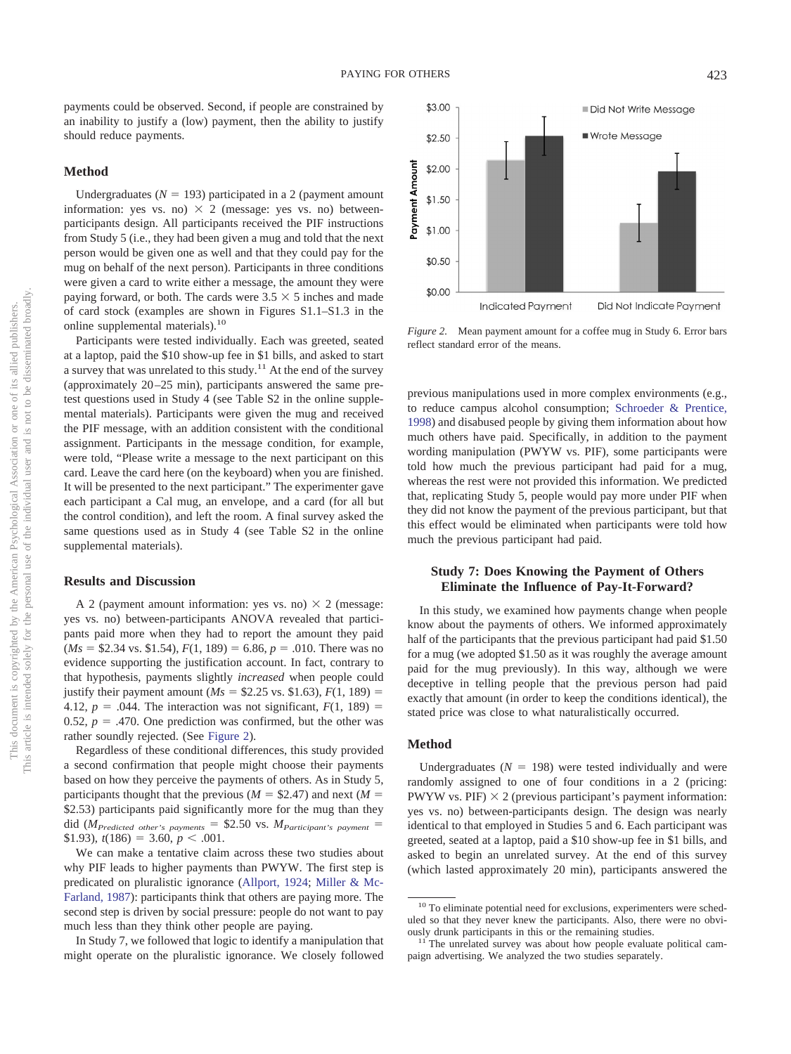payments could be observed. Second, if people are constrained by an inability to justify a (low) payment, then the ability to justify should reduce payments.

#### **Method**

Undergraduates ( $N = 193$ ) participated in a 2 (payment amount information: yes vs. no)  $\times$  2 (message: yes vs. no) betweenparticipants design. All participants received the PIF instructions from Study 5 (i.e., they had been given a mug and told that the next person would be given one as well and that they could pay for the mug on behalf of the next person). Participants in three conditions were given a card to write either a message, the amount they were paying forward, or both. The cards were  $3.5 \times 5$  inches and made of card stock (examples are shown in Figures S1.1–S1.3 in the online supplemental materials).<sup>10</sup>

Participants were tested individually. Each was greeted, seated at a laptop, paid the \$10 show-up fee in \$1 bills, and asked to start a survey that was unrelated to this study.11 At the end of the survey (approximately 20 –25 min), participants answered the same pretest questions used in Study 4 (see Table S2 in the online supplemental materials). Participants were given the mug and received the PIF message, with an addition consistent with the conditional assignment. Participants in the message condition, for example, were told, "Please write a message to the next participant on this card. Leave the card here (on the keyboard) when you are finished. It will be presented to the next participant." The experimenter gave each participant a Cal mug, an envelope, and a card (for all but the control condition), and left the room. A final survey asked the same questions used as in Study 4 (see Table S2 in the online supplemental materials).

#### **Results and Discussion**

A 2 (payment amount information: yes vs. no)  $\times$  2 (message: yes vs. no) between-participants ANOVA revealed that participants paid more when they had to report the amount they paid  $(Ms = $2.34 \text{ vs. } $1.54), F(1, 189) = 6.86, p = .010.$  There was no evidence supporting the justification account. In fact, contrary to that hypothesis, payments slightly *increased* when people could justify their payment amount ( $Ms = $2.25$  vs. \$1.63),  $F(1, 189) =$ 4.12,  $p = .044$ . The interaction was not significant,  $F(1, 189) =$ 0.52,  $p = .470$ . One prediction was confirmed, but the other was rather soundly rejected. (See Figure 2).

Regardless of these conditional differences, this study provided a second confirmation that people might choose their payments based on how they perceive the payments of others. As in Study 5, participants thought that the previous ( $M = $2.47$ ) and next ( $M =$ \$2.53) participants paid significantly more for the mug than they did ( $M_{Predicted\ other\'s\ payments} = $2.50 \text{ vs. } M_{Participant\'s\ payment} =$  $$1.93$ ,  $t(186) = 3.60, p < .001$ .

We can make a tentative claim across these two studies about why PIF leads to higher payments than PWYW. The first step is predicated on pluralistic ignorance (Allport, 1924; Miller & Mc-Farland, 1987): participants think that others are paying more. The second step is driven by social pressure: people do not want to pay much less than they think other people are paying.

In Study 7, we followed that logic to identify a manipulation that might operate on the pluralistic ignorance. We closely followed

*Figure 2.* Mean payment amount for a coffee mug in Study 6. Error bars reflect standard error of the means.

previous manipulations used in more complex environments (e.g., to reduce campus alcohol consumption; Schroeder & Prentice, 1998) and disabused people by giving them information about how much others have paid. Specifically, in addition to the payment wording manipulation (PWYW vs. PIF), some participants were told how much the previous participant had paid for a mug, whereas the rest were not provided this information. We predicted that, replicating Study 5, people would pay more under PIF when they did not know the payment of the previous participant, but that this effect would be eliminated when participants were told how much the previous participant had paid.

# **Study 7: Does Knowing the Payment of Others Eliminate the Influence of Pay-It-Forward?**

In this study, we examined how payments change when people know about the payments of others. We informed approximately half of the participants that the previous participant had paid \$1.50 for a mug (we adopted \$1.50 as it was roughly the average amount paid for the mug previously). In this way, although we were deceptive in telling people that the previous person had paid exactly that amount (in order to keep the conditions identical), the stated price was close to what naturalistically occurred.

### **Method**

Undergraduates  $(N = 198)$  were tested individually and were randomly assigned to one of four conditions in a 2 (pricing: PWYW vs. PIF)  $\times$  2 (previous participant's payment information: yes vs. no) between-participants design. The design was nearly identical to that employed in Studies 5 and 6. Each participant was greeted, seated at a laptop, paid a \$10 show-up fee in \$1 bills, and asked to begin an unrelated survey. At the end of this survey (which lasted approximately 20 min), participants answered the



<sup>&</sup>lt;sup>10</sup> To eliminate potential need for exclusions, experimenters were scheduled so that they never knew the participants. Also, there were no obviously drunk participants in this or the remaining studies.<br><sup>11</sup> The unrelated survey was about how people evaluate political cam-

paign advertising. We analyzed the two studies separately.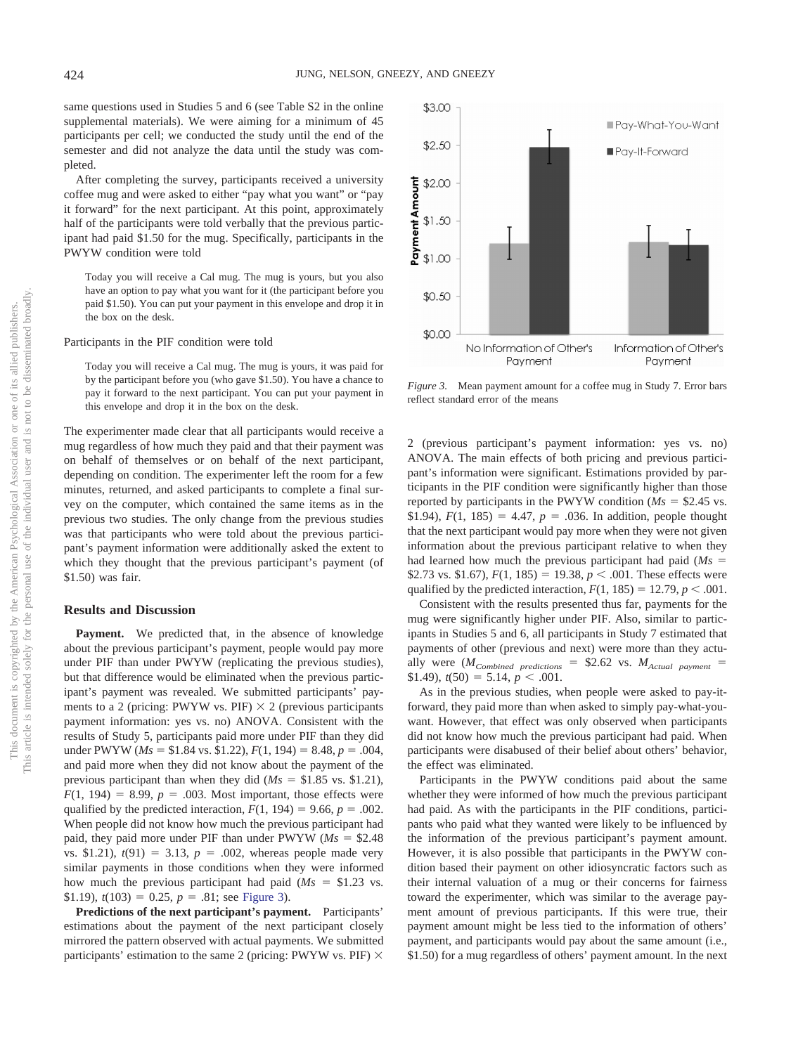same questions used in Studies 5 and 6 (see Table S2 in the online supplemental materials). We were aiming for a minimum of 45 participants per cell; we conducted the study until the end of the semester and did not analyze the data until the study was completed.

After completing the survey, participants received a university coffee mug and were asked to either "pay what you want" or "pay it forward" for the next participant. At this point, approximately half of the participants were told verbally that the previous participant had paid \$1.50 for the mug. Specifically, participants in the PWYW condition were told

Today you will receive a Cal mug. The mug is yours, but you also have an option to pay what you want for it (the participant before you paid \$1.50). You can put your payment in this envelope and drop it in the box on the desk.

Participants in the PIF condition were told

Today you will receive a Cal mug. The mug is yours, it was paid for by the participant before you (who gave \$1.50). You have a chance to pay it forward to the next participant. You can put your payment in this envelope and drop it in the box on the desk.

The experimenter made clear that all participants would receive a mug regardless of how much they paid and that their payment was on behalf of themselves or on behalf of the next participant, depending on condition. The experimenter left the room for a few minutes, returned, and asked participants to complete a final survey on the computer, which contained the same items as in the previous two studies. The only change from the previous studies was that participants who were told about the previous participant's payment information were additionally asked the extent to which they thought that the previous participant's payment (of \$1.50) was fair.

#### **Results and Discussion**

Payment. We predicted that, in the absence of knowledge about the previous participant's payment, people would pay more under PIF than under PWYW (replicating the previous studies), but that difference would be eliminated when the previous participant's payment was revealed. We submitted participants' payments to a 2 (pricing: PWYW vs. PIF)  $\times$  2 (previous participants payment information: yes vs. no) ANOVA. Consistent with the results of Study 5, participants paid more under PIF than they did under PWYW ( $Ms = $1.84$  vs.  $$1.22$ ),  $F(1, 194) = 8.48, p = .004$ , and paid more when they did not know about the payment of the previous participant than when they did  $(Ms = $1.85 \text{ vs. } $1.21)$ ,  $F(1, 194) = 8.99$ ,  $p = .003$ . Most important, those effects were qualified by the predicted interaction,  $F(1, 194) = 9.66$ ,  $p = .002$ . When people did not know how much the previous participant had paid, they paid more under PIF than under  $PWYW$  ( $Ms = $2.48$ ) vs. \$1.21),  $t(91) = 3.13$ ,  $p = .002$ , whereas people made very similar payments in those conditions when they were informed how much the previous participant had paid  $(Ms = $1.23$  vs.  $$1.19$ ,  $t(103) = 0.25$ ,  $p = .81$ ; see Figure 3).

**Predictions of the next participant's payment.** Participants' estimations about the payment of the next participant closely mirrored the pattern observed with actual payments. We submitted participants' estimation to the same 2 (pricing: PWYW vs. PIF)  $\times$ 



*Figure 3.* Mean payment amount for a coffee mug in Study 7. Error bars reflect standard error of the means

2 (previous participant's payment information: yes vs. no) ANOVA. The main effects of both pricing and previous participant's information were significant. Estimations provided by participants in the PIF condition were significantly higher than those reported by participants in the PWYW condition  $(Ms = $2.45 \text{ vs.})$ \$1.94),  $F(1, 185) = 4.47$ ,  $p = .036$ . In addition, people thought that the next participant would pay more when they were not given information about the previous participant relative to when they had learned how much the previous participant had paid  $(Ms =$ \$2.73 vs. \$1.67),  $F(1, 185) = 19.38$ ,  $p < .001$ . These effects were qualified by the predicted interaction,  $F(1, 185) = 12.79$ ,  $p < .001$ .

Consistent with the results presented thus far, payments for the mug were significantly higher under PIF. Also, similar to participants in Studies 5 and 6, all participants in Study 7 estimated that payments of other (previous and next) were more than they actually were  $(M_{Combined\ predictions} = $2.62 \text{ vs. } M_{Actual\ payment} =$  $$1.49$ ,  $t(50) = 5.14$ ,  $p < .001$ .

As in the previous studies, when people were asked to pay-itforward, they paid more than when asked to simply pay-what-youwant. However, that effect was only observed when participants did not know how much the previous participant had paid. When participants were disabused of their belief about others' behavior, the effect was eliminated.

Participants in the PWYW conditions paid about the same whether they were informed of how much the previous participant had paid. As with the participants in the PIF conditions, participants who paid what they wanted were likely to be influenced by the information of the previous participant's payment amount. However, it is also possible that participants in the PWYW condition based their payment on other idiosyncratic factors such as their internal valuation of a mug or their concerns for fairness toward the experimenter, which was similar to the average payment amount of previous participants. If this were true, their payment amount might be less tied to the information of others' payment, and participants would pay about the same amount (i.e., \$1.50) for a mug regardless of others' payment amount. In the next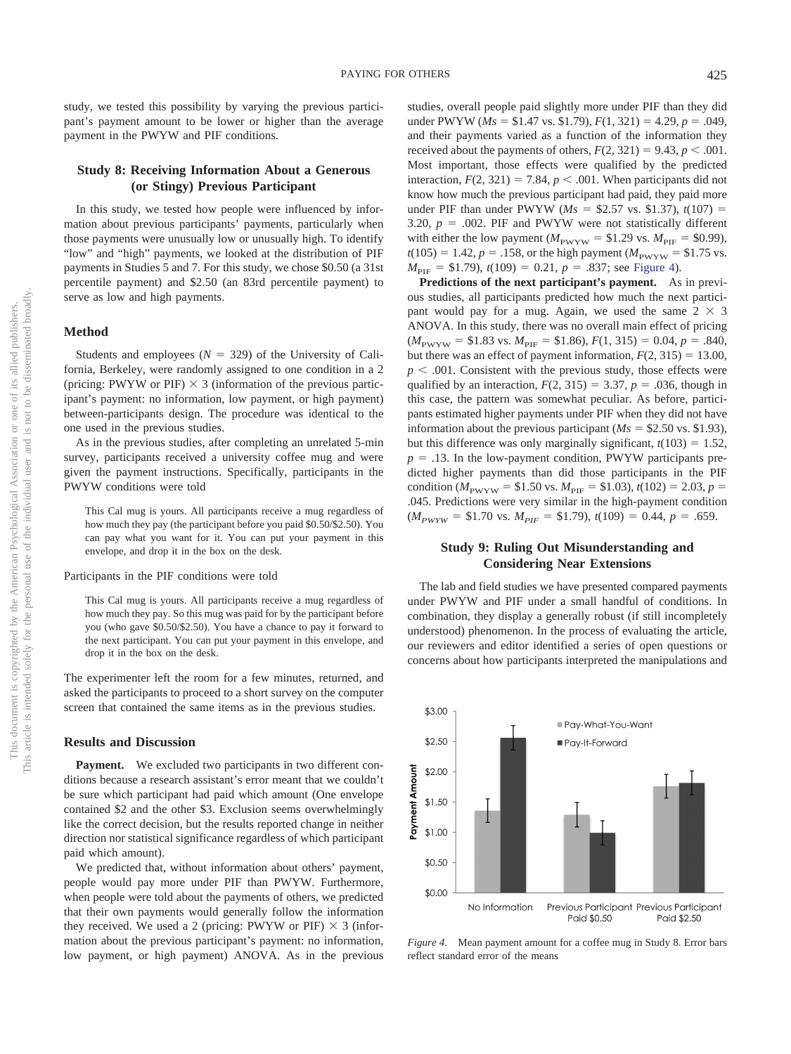study, we tested this possibility by varying the previous participant's payment amount to be lower or higher than the average payment in the PWYW and PIF conditions.

### **Study 8: Receiving Information About a Generous (or Stingy) Previous Participant**

In this study, we tested how people were influenced by information about previous participants' payments, particularly when those payments were unusually low or unusually high. To identify "low" and "high" payments, we looked at the distribution of PIF payments in Studies 5 and 7. For this study, we chose \$0.50 (a 31st percentile payment) and \$2.50 (an 83rd percentile payment) to serve as low and high payments.

#### **Method**

Students and employees  $(N = 329)$  of the University of California, Berkeley, were randomly assigned to one condition in a 2 (pricing: PWYW or PIF)  $\times$  3 (information of the previous participant's payment: no information, low payment, or high payment) between-participants design. The procedure was identical to the one used in the previous studies.

As in the previous studies, after completing an unrelated 5-min survey, participants received a university coffee mug and were given the payment instructions. Specifically, participants in the PWYW conditions were told

This Cal mug is yours. All participants receive a mug regardless of how much they pay (the participant before you paid \$0.50/\$2.50). You can pay what you want for it. You can put your payment in this envelope, and drop it in the box on the desk.

#### Participants in the PIF conditions were told

This Cal mug is yours. All participants receive a mug regardless of how much they pay. So this mug was paid for by the participant before you (who gave \$0.50/\$2.50). You have a chance to pay it forward to the next participant. You can put your payment in this envelope, and drop it in the box on the desk.

The experimenter left the room for a few minutes, returned, and asked the participants to proceed to a short survey on the computer screen that contained the same items as in the previous studies.

#### **Results and Discussion**

**Payment.** We excluded two participants in two different conditions because a research assistant's error meant that we couldn't be sure which participant had paid which amount (One envelope contained \$2 and the other \$3. Exclusion seems overwhelmingly like the correct decision, but the results reported change in neither direction nor statistical significance regardless of which participant paid which amount).

We predicted that, without information about others' payment, people would pay more under PIF than PWYW. Furthermore, when people were told about the payments of others, we predicted that their own payments would generally follow the information they received. We used a 2 (pricing: PWYW or PIF)  $\times$  3 (information about the previous participant's payment: no information, low payment, or high payment) ANOVA. As in the previous

studies, overall people paid slightly more under PIF than they did under PWYW ( $Ms = $1.47$  vs.  $$1.79$ ),  $F(1, 321) = 4.29$ ,  $p = .049$ , and their payments varied as a function of the information they received about the payments of others,  $F(2, 321) = 9.43$ ,  $p < .001$ . Most important, those effects were qualified by the predicted interaction,  $F(2, 321) = 7.84$ ,  $p < .001$ . When participants did not know how much the previous participant had paid, they paid more under PIF than under PWYW ( $Ms = $2.57$  vs. \$1.37),  $t(107) =$ 3.20,  $p = .002$ . PIF and PWYW were not statistically different with either the low payment ( $M_{\text{PWYW}} = $1.29 \text{ vs. } M_{\text{PIF}} = $0.99$ ),  $t(105) = 1.42, p = .158$ , or the high payment ( $M_{\text{PWYW}} = $1.75 \text{ vs.}$ )  $M_{\text{PIF}} = $1.79$ ,  $t(109) = 0.21$ ,  $p = .837$ ; see Figure 4).

**Predictions of the next participant's payment.** As in previous studies, all participants predicted how much the next participant would pay for a mug. Again, we used the same  $2 \times 3$ ANOVA. In this study, there was no overall main effect of pricing  $(M_{\text{PWYW}} = $1.83 \text{ vs. } M_{\text{PIF}} = $1.86, F(1, 315) = 0.04, p = .840,$ but there was an effect of payment information,  $F(2, 315) = 13.00$ ,  $p < .001$ . Consistent with the previous study, those effects were qualified by an interaction,  $F(2, 315) = 3.37$ ,  $p = .036$ , though in this case, the pattern was somewhat peculiar. As before, participants estimated higher payments under PIF when they did not have information about the previous participant  $(Ms = $2.50 \text{ vs. } $1.93)$ , but this difference was only marginally significant,  $t(103) = 1.52$ ,  $p = .13$ . In the low-payment condition, PWYW participants predicted higher payments than did those participants in the PIF condition ( $M_{\text{PWYW}}$  = \$1.50 vs.  $M_{\text{PIF}}$  = \$1.03),  $t(102)$  = 2.03,  $p$  = .045. Predictions were very similar in the high-payment condition  $(M_{PWYW} = $1.70 \text{ vs. } M_{PIF} = $1.79), t(109) = 0.44, p = .659.$ 

# **Study 9: Ruling Out Misunderstanding and Considering Near Extensions**

The lab and field studies we have presented compared payments under PWYW and PIF under a small handful of conditions. In combination, they display a generally robust (if still incompletely understood) phenomenon. In the process of evaluating the article, our reviewers and editor identified a series of open questions or concerns about how participants interpreted the manipulations and

Pay-What-You-Want

Pay-It-Forward

\$3.00

\$2.50



*Figure 4.* Mean payment amount for a coffee mug in Study 8. Error bars reflect standard error of the means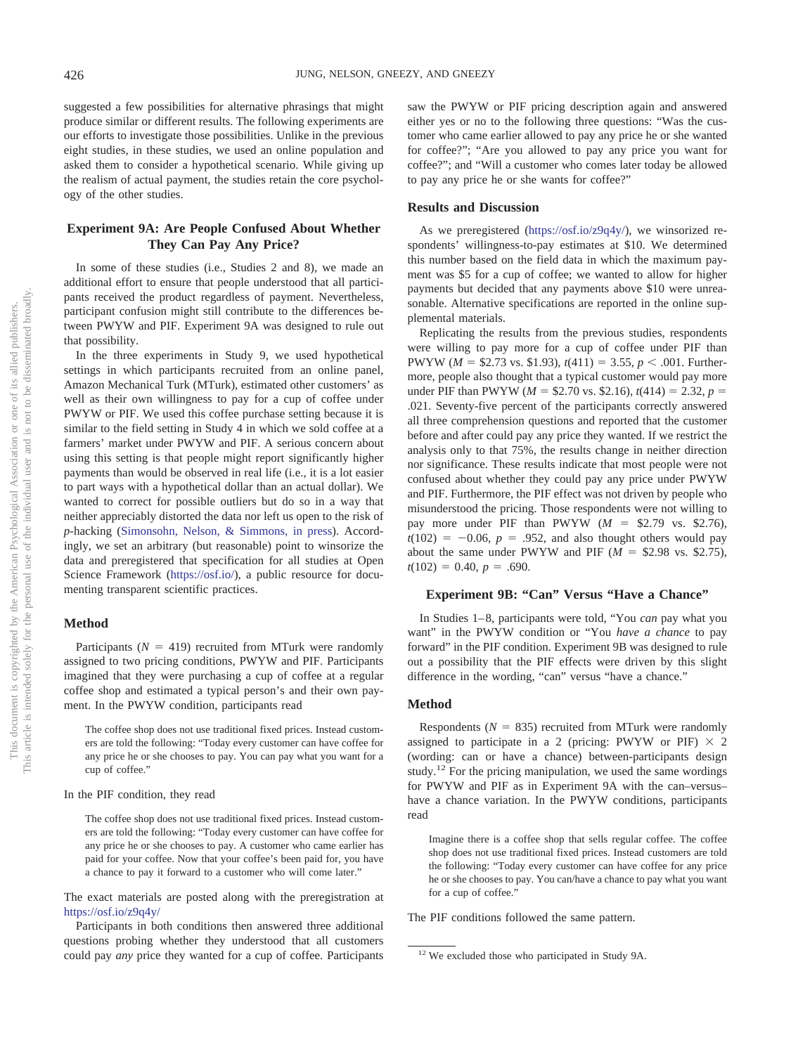suggested a few possibilities for alternative phrasings that might produce similar or different results. The following experiments are our efforts to investigate those possibilities. Unlike in the previous eight studies, in these studies, we used an online population and asked them to consider a hypothetical scenario. While giving up the realism of actual payment, the studies retain the core psychology of the other studies.

# **Experiment 9A: Are People Confused About Whether They Can Pay Any Price?**

In some of these studies (i.e., Studies 2 and 8), we made an additional effort to ensure that people understood that all participants received the product regardless of payment. Nevertheless, participant confusion might still contribute to the differences between PWYW and PIF. Experiment 9A was designed to rule out that possibility.

In the three experiments in Study 9, we used hypothetical settings in which participants recruited from an online panel, Amazon Mechanical Turk (MTurk), estimated other customers' as well as their own willingness to pay for a cup of coffee under PWYW or PIF. We used this coffee purchase setting because it is similar to the field setting in Study 4 in which we sold coffee at a farmers' market under PWYW and PIF. A serious concern about using this setting is that people might report significantly higher payments than would be observed in real life (i.e., it is a lot easier to part ways with a hypothetical dollar than an actual dollar). We wanted to correct for possible outliers but do so in a way that neither appreciably distorted the data nor left us open to the risk of *p*-hacking (Simonsohn, Nelson, & Simmons, in press). Accordingly, we set an arbitrary (but reasonable) point to winsorize the data and preregistered that specification for all studies at Open Science Framework (https://osf.io/), a public resource for documenting transparent scientific practices.

#### **Method**

Participants  $(N = 419)$  recruited from MTurk were randomly assigned to two pricing conditions, PWYW and PIF. Participants imagined that they were purchasing a cup of coffee at a regular coffee shop and estimated a typical person's and their own payment. In the PWYW condition, participants read

The coffee shop does not use traditional fixed prices. Instead customers are told the following: "Today every customer can have coffee for any price he or she chooses to pay. You can pay what you want for a cup of coffee."

#### In the PIF condition, they read

The coffee shop does not use traditional fixed prices. Instead customers are told the following: "Today every customer can have coffee for any price he or she chooses to pay. A customer who came earlier has paid for your coffee. Now that your coffee's been paid for, you have a chance to pay it forward to a customer who will come later."

The exact materials are posted along with the preregistration at https://osf.io/z9q4y/

Participants in both conditions then answered three additional questions probing whether they understood that all customers could pay *any* price they wanted for a cup of coffee. Participants saw the PWYW or PIF pricing description again and answered either yes or no to the following three questions: "Was the customer who came earlier allowed to pay any price he or she wanted for coffee?"; "Are you allowed to pay any price you want for coffee?"; and "Will a customer who comes later today be allowed to pay any price he or she wants for coffee?"

#### **Results and Discussion**

As we preregistered (https://osf.io/z9q4y/), we winsorized respondents' willingness-to-pay estimates at \$10. We determined this number based on the field data in which the maximum payment was \$5 for a cup of coffee; we wanted to allow for higher payments but decided that any payments above \$10 were unreasonable. Alternative specifications are reported in the online supplemental materials.

Replicating the results from the previous studies, respondents were willing to pay more for a cup of coffee under PIF than PWYW ( $M =$  \$2.73 vs. \$1.93),  $t(411) = 3.55, p < .001$ . Furthermore, people also thought that a typical customer would pay more under PIF than PWYW ( $M = $2.70$  vs. \$2.16),  $t(414) = 2.32$ ,  $p =$ .021. Seventy-five percent of the participants correctly answered all three comprehension questions and reported that the customer before and after could pay any price they wanted. If we restrict the analysis only to that 75%, the results change in neither direction nor significance. These results indicate that most people were not confused about whether they could pay any price under PWYW and PIF. Furthermore, the PIF effect was not driven by people who misunderstood the pricing. Those respondents were not willing to pay more under PIF than PWYW  $(M = $2.79 \text{ vs. } $2.76)$ ,  $t(102) = -0.06$ ,  $p = .952$ , and also thought others would pay about the same under PWYW and PIF  $(M = $2.98 \text{ vs. } $2.75)$ ,  $t(102) = 0.40, p = .690.$ 

# **Experiment 9B: "Can" Versus "Have a Chance"**

In Studies 1– 8, participants were told, "You *can* pay what you want" in the PWYW condition or "You *have a chance* to pay forward" in the PIF condition. Experiment 9B was designed to rule out a possibility that the PIF effects were driven by this slight difference in the wording, "can" versus "have a chance."

#### **Method**

Respondents ( $N = 835$ ) recruited from MTurk were randomly assigned to participate in a 2 (pricing: PWYW or PIF)  $\times$  2 (wording: can or have a chance) between-participants design study.<sup>12</sup> For the pricing manipulation, we used the same wordings for PWYW and PIF as in Experiment 9A with the can–versus– have a chance variation. In the PWYW conditions, participants read

Imagine there is a coffee shop that sells regular coffee. The coffee shop does not use traditional fixed prices. Instead customers are told the following: "Today every customer can have coffee for any price he or she chooses to pay. You can/have a chance to pay what you want for a cup of coffee.'

The PIF conditions followed the same pattern.

<sup>&</sup>lt;sup>12</sup> We excluded those who participated in Study 9A.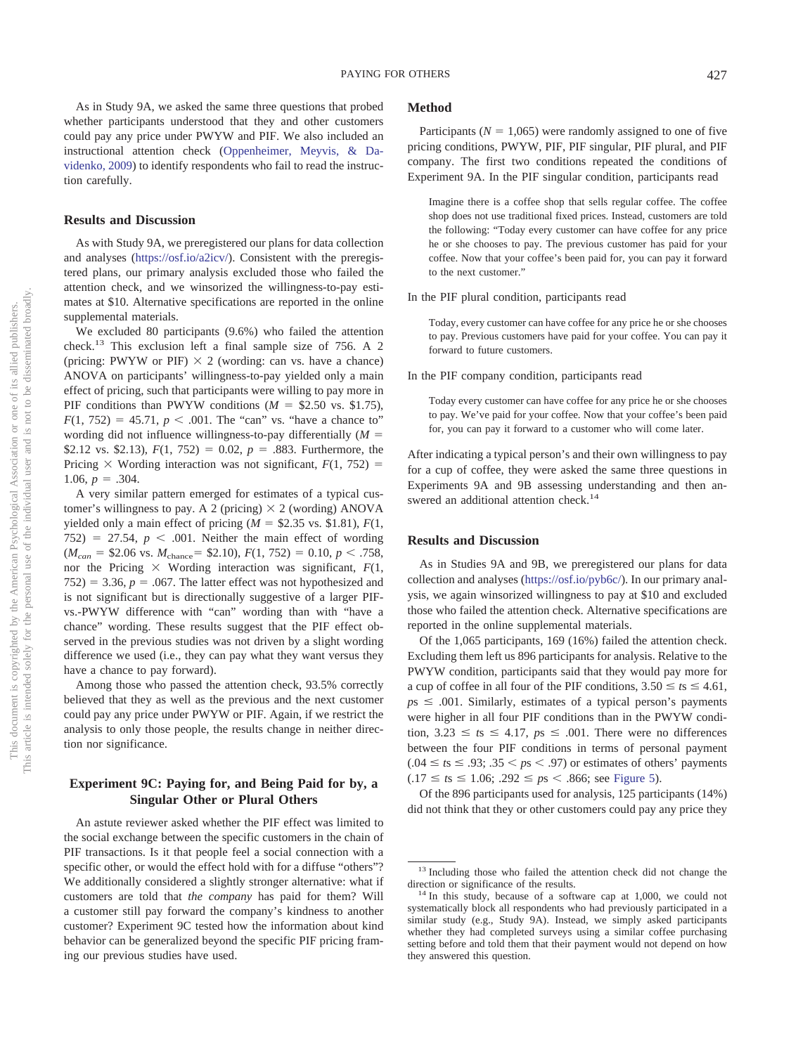As in Study 9A, we asked the same three questions that probed whether participants understood that they and other customers could pay any price under PWYW and PIF. We also included an instructional attention check (Oppenheimer, Meyvis, & Davidenko, 2009) to identify respondents who fail to read the instruction carefully.

#### **Results and Discussion**

As with Study 9A, we preregistered our plans for data collection and analyses (https://osf.io/a2icv/). Consistent with the preregistered plans, our primary analysis excluded those who failed the attention check, and we winsorized the willingness-to-pay estimates at \$10. Alternative specifications are reported in the online supplemental materials.

We excluded 80 participants (9.6%) who failed the attention check.13 This exclusion left a final sample size of 756. A 2 (pricing: PWYW or PIF)  $\times$  2 (wording: can vs. have a chance) ANOVA on participants' willingness-to-pay yielded only a main effect of pricing, such that participants were willing to pay more in PIF conditions than PWYW conditions  $(M = $2.50 \text{ vs. } $1.75)$ ,  $F(1, 752) = 45.71$ ,  $p < .001$ . The "can" vs. "have a chance to" wording did not influence willingness-to-pay differentially  $(M =$ \$2.12 vs. \$2.13),  $F(1, 752) = 0.02$ ,  $p = .883$ . Furthermore, the Pricing  $\times$  Wording interaction was not significant,  $F(1, 752) =$  $1.06, p = .304.$ 

A very similar pattern emerged for estimates of a typical customer's willingness to pay. A 2 (pricing)  $\times$  2 (wording) ANOVA yielded only a main effect of pricing  $(M = $2.35 \text{ vs. } $1.81)$ ,  $F(1,$  $752) = 27.54$ ,  $p < .001$ . Neither the main effect of wording  $(M_{can} = $2.06 \text{ vs. } M_{chance} = $2.10), F(1, 752) = 0.10, p < .758,$ nor the Pricing  $\times$  Wording interaction was significant,  $F(1, \cdot)$  $752$ ) = 3.36,  $p = .067$ . The latter effect was not hypothesized and is not significant but is directionally suggestive of a larger PIFvs.-PWYW difference with "can" wording than with "have a chance" wording. These results suggest that the PIF effect observed in the previous studies was not driven by a slight wording difference we used (i.e., they can pay what they want versus they have a chance to pay forward).

Among those who passed the attention check, 93.5% correctly believed that they as well as the previous and the next customer could pay any price under PWYW or PIF. Again, if we restrict the analysis to only those people, the results change in neither direction nor significance.

# **Experiment 9C: Paying for, and Being Paid for by, a Singular Other or Plural Others**

An astute reviewer asked whether the PIF effect was limited to the social exchange between the specific customers in the chain of PIF transactions. Is it that people feel a social connection with a specific other, or would the effect hold with for a diffuse "others"? We additionally considered a slightly stronger alternative: what if customers are told that *the company* has paid for them? Will a customer still pay forward the company's kindness to another customer? Experiment 9C tested how the information about kind behavior can be generalized beyond the specific PIF pricing framing our previous studies have used.

### **Method**

Participants ( $N = 1,065$ ) were randomly assigned to one of five pricing conditions, PWYW, PIF, PIF singular, PIF plural, and PIF company. The first two conditions repeated the conditions of Experiment 9A. In the PIF singular condition, participants read

Imagine there is a coffee shop that sells regular coffee. The coffee shop does not use traditional fixed prices. Instead, customers are told the following: "Today every customer can have coffee for any price he or she chooses to pay. The previous customer has paid for your coffee. Now that your coffee's been paid for, you can pay it forward to the next customer."

In the PIF plural condition, participants read

Today, every customer can have coffee for any price he or she chooses to pay. Previous customers have paid for your coffee. You can pay it forward to future customers.

In the PIF company condition, participants read

Today every customer can have coffee for any price he or she chooses to pay. We've paid for your coffee. Now that your coffee's been paid for, you can pay it forward to a customer who will come later.

After indicating a typical person's and their own willingness to pay for a cup of coffee, they were asked the same three questions in Experiments 9A and 9B assessing understanding and then answered an additional attention check.<sup>14</sup>

#### **Results and Discussion**

As in Studies 9A and 9B, we preregistered our plans for data collection and analyses (https://osf.io/pyb6c/). In our primary analysis, we again winsorized willingness to pay at \$10 and excluded those who failed the attention check. Alternative specifications are reported in the online supplemental materials.

Of the 1,065 participants, 169 (16%) failed the attention check. Excluding them left us 896 participants for analysis. Relative to the PWYW condition, participants said that they would pay more for a cup of coffee in all four of the PIF conditions,  $3.50 \leq ts \leq 4.61$ ,  $p s \leq .001$ . Similarly, estimates of a typical person's payments were higher in all four PIF conditions than in the PWYW condition,  $3.23 \leq ts \leq 4.17$ ,  $ps \leq .001$ . There were no differences between the four PIF conditions in terms of personal payment  $(.04 \leq ts \leq .93; .35 \leq ps \leq .97)$  or estimates of others' payments  $(.17 \leq t_s \leq 1.06; .292 \leq ps < .866;$  see Figure 5).

Of the 896 participants used for analysis, 125 participants (14%) did not think that they or other customers could pay any price they

<sup>&</sup>lt;sup>13</sup> Including those who failed the attention check did not change the direction or significance of the results.  $14 \text{ In this study, because of a software cap at } 1,000$ , we could not

systematically block all respondents who had previously participated in a similar study (e.g., Study 9A). Instead, we simply asked participants whether they had completed surveys using a similar coffee purchasing setting before and told them that their payment would not depend on how they answered this question.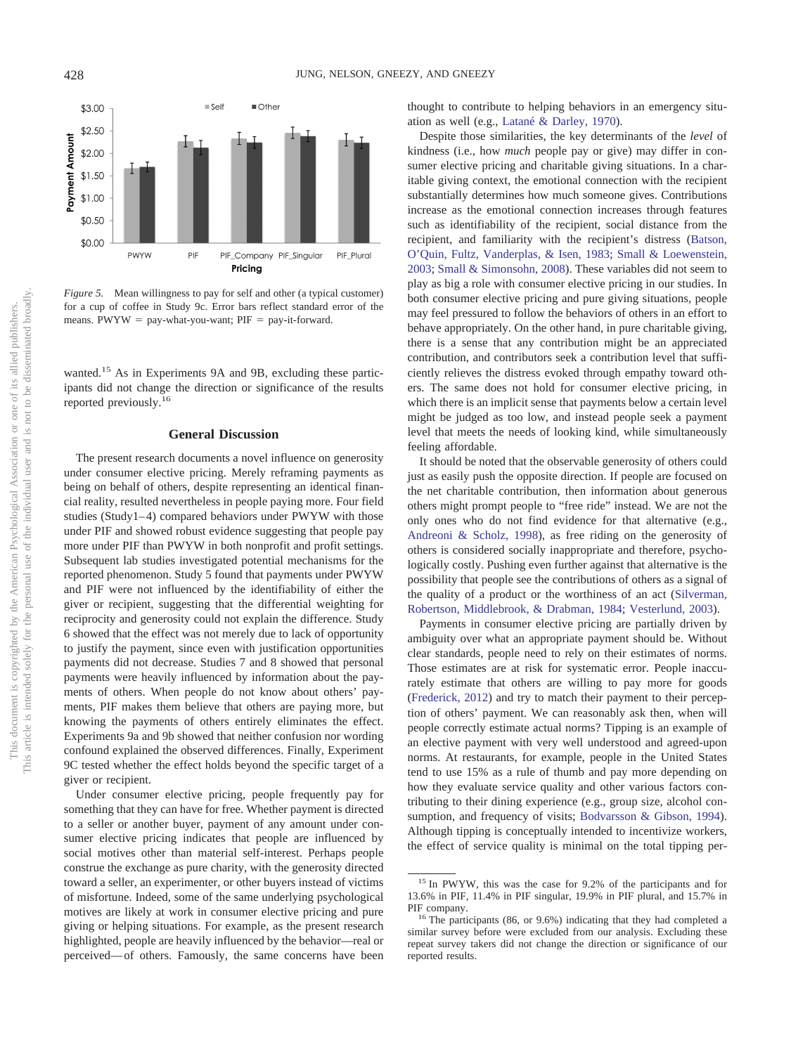

*Figure 5.* Mean willingness to pay for self and other (a typical customer) for a cup of coffee in Study 9c. Error bars reflect standard error of the means.  $PWYW = pay-what-you-want$ ;  $PIF = pay-it-forward$ .

wanted.<sup>15</sup> As in Experiments 9A and 9B, excluding these participants did not change the direction or significance of the results reported previously.16

#### **General Discussion**

The present research documents a novel influence on generosity under consumer elective pricing. Merely reframing payments as being on behalf of others, despite representing an identical financial reality, resulted nevertheless in people paying more. Four field studies (Study1-4) compared behaviors under  $PWYW$  with those under PIF and showed robust evidence suggesting that people pay more under PIF than PWYW in both nonprofit and profit settings. Subsequent lab studies investigated potential mechanisms for the reported phenomenon. Study 5 found that payments under PWYW and PIF were not influenced by the identifiability of either the giver or recipient, suggesting that the differential weighting for reciprocity and generosity could not explain the difference. Study 6 showed that the effect was not merely due to lack of opportunity to justify the payment, since even with justification opportunities payments did not decrease. Studies 7 and 8 showed that personal payments were heavily influenced by information about the payments of others. When people do not know about others' payments, PIF makes them believe that others are paying more, but knowing the payments of others entirely eliminates the effect. Experiments 9a and 9b showed that neither confusion nor wording confound explained the observed differences. Finally, Experiment 9C tested whether the effect holds beyond the specific target of a giver or recipient.

Under consumer elective pricing, people frequently pay for something that they can have for free. Whether payment is directed to a seller or another buyer, payment of any amount under consumer elective pricing indicates that people are influenced by social motives other than material self-interest. Perhaps people construe the exchange as pure charity, with the generosity directed toward a seller, an experimenter, or other buyers instead of victims of misfortune. Indeed, some of the same underlying psychological motives are likely at work in consumer elective pricing and pure giving or helping situations. For example, as the present research highlighted, people are heavily influenced by the behavior—real or perceived— of others. Famously, the same concerns have been thought to contribute to helping behaviors in an emergency situation as well (e.g., Latané & Darley, 1970).

Despite those similarities, the key determinants of the *level* of kindness (i.e., how *much* people pay or give) may differ in consumer elective pricing and charitable giving situations. In a charitable giving context, the emotional connection with the recipient substantially determines how much someone gives. Contributions increase as the emotional connection increases through features such as identifiability of the recipient, social distance from the recipient, and familiarity with the recipient's distress (Batson, O'Quin, Fultz, Vanderplas, & Isen, 1983; Small & Loewenstein, 2003; Small & Simonsohn, 2008). These variables did not seem to play as big a role with consumer elective pricing in our studies. In both consumer elective pricing and pure giving situations, people may feel pressured to follow the behaviors of others in an effort to behave appropriately. On the other hand, in pure charitable giving, there is a sense that any contribution might be an appreciated contribution, and contributors seek a contribution level that sufficiently relieves the distress evoked through empathy toward others. The same does not hold for consumer elective pricing, in which there is an implicit sense that payments below a certain level might be judged as too low, and instead people seek a payment level that meets the needs of looking kind, while simultaneously feeling affordable.

It should be noted that the observable generosity of others could just as easily push the opposite direction. If people are focused on the net charitable contribution, then information about generous others might prompt people to "free ride" instead. We are not the only ones who do not find evidence for that alternative (e.g., Andreoni & Scholz, 1998), as free riding on the generosity of others is considered socially inappropriate and therefore, psychologically costly. Pushing even further against that alternative is the possibility that people see the contributions of others as a signal of the quality of a product or the worthiness of an act (Silverman, Robertson, Middlebrook, & Drabman, 1984; Vesterlund, 2003).

Payments in consumer elective pricing are partially driven by ambiguity over what an appropriate payment should be. Without clear standards, people need to rely on their estimates of norms. Those estimates are at risk for systematic error. People inaccurately estimate that others are willing to pay more for goods (Frederick, 2012) and try to match their payment to their perception of others' payment. We can reasonably ask then, when will people correctly estimate actual norms? Tipping is an example of an elective payment with very well understood and agreed-upon norms. At restaurants, for example, people in the United States tend to use 15% as a rule of thumb and pay more depending on how they evaluate service quality and other various factors contributing to their dining experience (e.g., group size, alcohol consumption, and frequency of visits; Bodvarsson & Gibson, 1994). Although tipping is conceptually intended to incentivize workers, the effect of service quality is minimal on the total tipping per-

<sup>&</sup>lt;sup>15</sup> In PWYW, this was the case for 9.2% of the participants and for 13.6% in PIF, 11.4% in PIF singular, 19.9% in PIF plural, and 15.7% in

 $16$  The participants (86, or 9.6%) indicating that they had completed a similar survey before were excluded from our analysis. Excluding these repeat survey takers did not change the direction or significance of our reported results.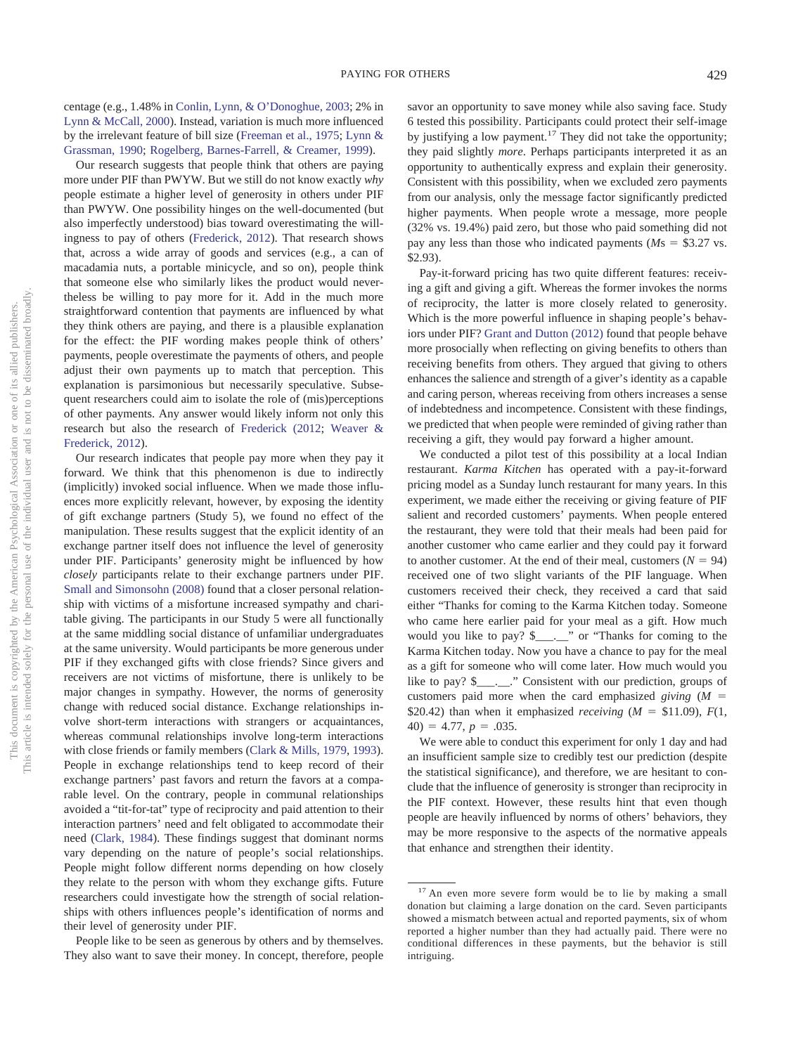centage (e.g., 1.48% in Conlin, Lynn, & O'Donoghue, 2003; 2% in Lynn & McCall, 2000). Instead, variation is much more influenced by the irrelevant feature of bill size (Freeman et al., 1975; Lynn & Grassman, 1990; Rogelberg, Barnes-Farrell, & Creamer, 1999).

Our research suggests that people think that others are paying more under PIF than PWYW. But we still do not know exactly *why* people estimate a higher level of generosity in others under PIF than PWYW. One possibility hinges on the well-documented (but also imperfectly understood) bias toward overestimating the willingness to pay of others (Frederick, 2012). That research shows that, across a wide array of goods and services (e.g., a can of macadamia nuts, a portable minicycle, and so on), people think that someone else who similarly likes the product would nevertheless be willing to pay more for it. Add in the much more straightforward contention that payments are influenced by what they think others are paying, and there is a plausible explanation for the effect: the PIF wording makes people think of others' payments, people overestimate the payments of others, and people adjust their own payments up to match that perception. This explanation is parsimonious but necessarily speculative. Subsequent researchers could aim to isolate the role of (mis)perceptions of other payments. Any answer would likely inform not only this research but also the research of Frederick (2012; Weaver & Frederick, 2012).

Our research indicates that people pay more when they pay it forward. We think that this phenomenon is due to indirectly (implicitly) invoked social influence. When we made those influences more explicitly relevant, however, by exposing the identity of gift exchange partners (Study 5), we found no effect of the manipulation. These results suggest that the explicit identity of an exchange partner itself does not influence the level of generosity under PIF. Participants' generosity might be influenced by how *closely* participants relate to their exchange partners under PIF. Small and Simonsohn (2008) found that a closer personal relationship with victims of a misfortune increased sympathy and charitable giving. The participants in our Study 5 were all functionally at the same middling social distance of unfamiliar undergraduates at the same university. Would participants be more generous under PIF if they exchanged gifts with close friends? Since givers and receivers are not victims of misfortune, there is unlikely to be major changes in sympathy. However, the norms of generosity change with reduced social distance. Exchange relationships involve short-term interactions with strangers or acquaintances, whereas communal relationships involve long-term interactions with close friends or family members (Clark & Mills, 1979, 1993). People in exchange relationships tend to keep record of their exchange partners' past favors and return the favors at a comparable level. On the contrary, people in communal relationships avoided a "tit-for-tat" type of reciprocity and paid attention to their interaction partners' need and felt obligated to accommodate their need (Clark, 1984). These findings suggest that dominant norms vary depending on the nature of people's social relationships. People might follow different norms depending on how closely they relate to the person with whom they exchange gifts. Future researchers could investigate how the strength of social relationships with others influences people's identification of norms and their level of generosity under PIF.

People like to be seen as generous by others and by themselves. They also want to save their money. In concept, therefore, people savor an opportunity to save money while also saving face. Study 6 tested this possibility. Participants could protect their self-image by justifying a low payment.<sup>17</sup> They did not take the opportunity; they paid slightly *more*. Perhaps participants interpreted it as an opportunity to authentically express and explain their generosity. Consistent with this possibility, when we excluded zero payments from our analysis, only the message factor significantly predicted higher payments. When people wrote a message, more people (32% vs. 19.4%) paid zero, but those who paid something did not pay any less than those who indicated payments  $(Ms = $3.27 \text{ vs.})$ \$2.93).

Pay-it-forward pricing has two quite different features: receiving a gift and giving a gift. Whereas the former invokes the norms of reciprocity, the latter is more closely related to generosity. Which is the more powerful influence in shaping people's behaviors under PIF? Grant and Dutton (2012) found that people behave more prosocially when reflecting on giving benefits to others than receiving benefits from others. They argued that giving to others enhances the salience and strength of a giver's identity as a capable and caring person, whereas receiving from others increases a sense of indebtedness and incompetence. Consistent with these findings, we predicted that when people were reminded of giving rather than receiving a gift, they would pay forward a higher amount.

We conducted a pilot test of this possibility at a local Indian restaurant. *Karma Kitchen* has operated with a pay-it-forward pricing model as a Sunday lunch restaurant for many years. In this experiment, we made either the receiving or giving feature of PIF salient and recorded customers' payments. When people entered the restaurant, they were told that their meals had been paid for another customer who came earlier and they could pay it forward to another customer. At the end of their meal, customers  $(N = 94)$ received one of two slight variants of the PIF language. When customers received their check, they received a card that said either "Thanks for coming to the Karma Kitchen today. Someone who came here earlier paid for your meal as a gift. How much would you like to pay? \$\_\_\_.\_\_" or "Thanks for coming to the Karma Kitchen today. Now you have a chance to pay for the meal as a gift for someone who will come later. How much would you like to pay? \$\_\_\_.\_\_." Consistent with our prediction, groups of customers paid more when the card emphasized *giving*  $(M =$ \$20.42) than when it emphasized *receiving*  $(M = $11.09)$ ,  $F(1,$  $40) = 4.77, p = .035.$ 

We were able to conduct this experiment for only 1 day and had an insufficient sample size to credibly test our prediction (despite the statistical significance), and therefore, we are hesitant to conclude that the influence of generosity is stronger than reciprocity in the PIF context. However, these results hint that even though people are heavily influenced by norms of others' behaviors, they may be more responsive to the aspects of the normative appeals that enhance and strengthen their identity.

<sup>&</sup>lt;sup>17</sup> An even more severe form would be to lie by making a small donation but claiming a large donation on the card. Seven participants showed a mismatch between actual and reported payments, six of whom reported a higher number than they had actually paid. There were no conditional differences in these payments, but the behavior is still intriguing.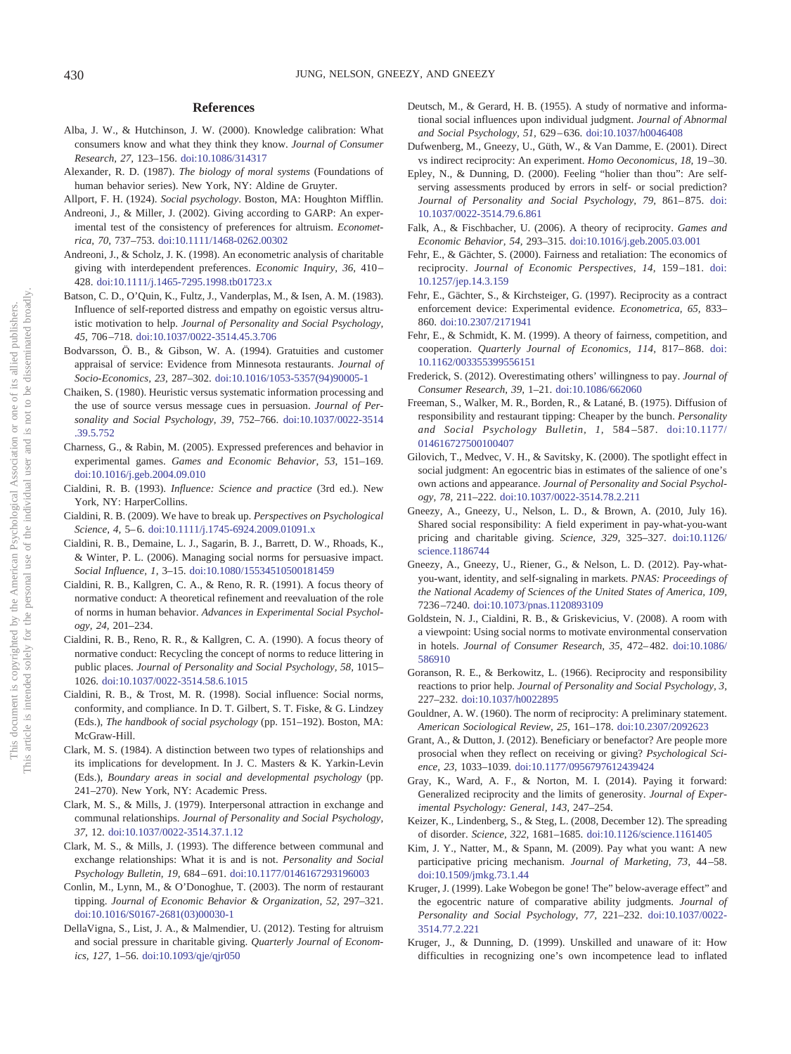### **References**

- Alba, J. W., & Hutchinson, J. W. (2000). Knowledge calibration: What consumers know and what they think they know. *Journal of Consumer Research, 27,* 123–156. doi:10.1086/314317
- Alexander, R. D. (1987). *The biology of moral systems* (Foundations of human behavior series). New York, NY: Aldine de Gruyter.
- Allport, F. H. (1924). *Social psychology*. Boston, MA: Houghton Mifflin.
- Andreoni, J., & Miller, J. (2002). Giving according to GARP: An experimental test of the consistency of preferences for altruism. *Econometrica, 70,* 737–753. doi:10.1111/1468-0262.00302
- Andreoni, J., & Scholz, J. K. (1998). An econometric analysis of charitable giving with interdependent preferences. *Economic Inquiry, 36,* 410 – 428. doi:10.1111/j.1465-7295.1998.tb01723.x
- Batson, C. D., O'Quin, K., Fultz, J., Vanderplas, M., & Isen, A. M. (1983). Influence of self-reported distress and empathy on egoistic versus altruistic motivation to help. *Journal of Personality and Social Psychology, 45,* 706 –718. doi:10.1037/0022-3514.45.3.706
- Bodvarsson, Ö. B., & Gibson, W. A. (1994). Gratuities and customer appraisal of service: Evidence from Minnesota restaurants. *Journal of Socio-Economics, 23,* 287–302. doi:10.1016/1053-5357(94)90005-1
- Chaiken, S. (1980). Heuristic versus systematic information processing and the use of source versus message cues in persuasion. *Journal of Personality and Social Psychology, 39,* 752–766. doi:10.1037/0022-3514 .39.5.752
- Charness, G., & Rabin, M. (2005). Expressed preferences and behavior in experimental games. *Games and Economic Behavior, 53,* 151–169. doi:10.1016/j.geb.2004.09.010
- Cialdini, R. B. (1993). *Influence: Science and practice* (3rd ed.). New York, NY: HarperCollins.
- Cialdini, R. B. (2009). We have to break up. *Perspectives on Psychological Science, 4,* 5– 6. doi:10.1111/j.1745-6924.2009.01091.x
- Cialdini, R. B., Demaine, L. J., Sagarin, B. J., Barrett, D. W., Rhoads, K., & Winter, P. L. (2006). Managing social norms for persuasive impact. *Social Influence, 1,* 3–15. doi:10.1080/15534510500181459
- Cialdini, R. B., Kallgren, C. A., & Reno, R. R. (1991). A focus theory of normative conduct: A theoretical refinement and reevaluation of the role of norms in human behavior. *Advances in Experimental Social Psychology, 24,* 201–234.
- Cialdini, R. B., Reno, R. R., & Kallgren, C. A. (1990). A focus theory of normative conduct: Recycling the concept of norms to reduce littering in public places. *Journal of Personality and Social Psychology, 58,* 1015– 1026. doi:10.1037/0022-3514.58.6.1015
- Cialdini, R. B., & Trost, M. R. (1998). Social influence: Social norms, conformity, and compliance. In D. T. Gilbert, S. T. Fiske, & G. Lindzey (Eds.), *The handbook of social psychology* (pp. 151–192). Boston, MA: McGraw-Hill.
- Clark, M. S. (1984). A distinction between two types of relationships and its implications for development. In J. C. Masters & K. Yarkin-Levin (Eds.), *Boundary areas in social and developmental psychology* (pp. 241–270). New York, NY: Academic Press.
- Clark, M. S., & Mills, J. (1979). Interpersonal attraction in exchange and communal relationships. *Journal of Personality and Social Psychology, 37,* 12. doi:10.1037/0022-3514.37.1.12
- Clark, M. S., & Mills, J. (1993). The difference between communal and exchange relationships: What it is and is not. *Personality and Social Psychology Bulletin, 19,* 684 – 691. doi:10.1177/0146167293196003
- Conlin, M., Lynn, M., & O'Donoghue, T. (2003). The norm of restaurant tipping. *Journal of Economic Behavior & Organization, 52,* 297–321. doi:10.1016/S0167-2681(03)00030-1
- DellaVigna, S., List, J. A., & Malmendier, U. (2012). Testing for altruism and social pressure in charitable giving. *Quarterly Journal of Economics, 127,* 1–56. doi:10.1093/qje/qjr050
- Deutsch, M., & Gerard, H. B. (1955). A study of normative and informational social influences upon individual judgment. *Journal of Abnormal and Social Psychology, 51,* 629 – 636. doi:10.1037/h0046408
- Dufwenberg, M., Gneezy, U., Güth, W., & Van Damme, E. (2001). Direct vs indirect reciprocity: An experiment. *Homo Oeconomicus, 18,* 19 –30.
- Epley, N., & Dunning, D. (2000). Feeling "holier than thou": Are selfserving assessments produced by errors in self- or social prediction? Journal of Personality and Social Psychology, 79, 861-875. doi: 10.1037/0022-3514.79.6.861
- Falk, A., & Fischbacher, U. (2006). A theory of reciprocity. *Games and Economic Behavior, 54,* 293–315. doi:10.1016/j.geb.2005.03.001
- Fehr, E., & Gächter, S. (2000). Fairness and retaliation: The economics of reciprocity. *Journal of Economic Perspectives, 14, 159-181.* doi: 10.1257/jep.14.3.159
- Fehr, E., Gächter, S., & Kirchsteiger, G. (1997). Reciprocity as a contract enforcement device: Experimental evidence. *Econometrica, 65,* 833– 860. doi:10.2307/2171941
- Fehr, E., & Schmidt, K. M. (1999). A theory of fairness, competition, and cooperation. *Quarterly Journal of Economics, 114,* 817– 868. doi: 10.1162/003355399556151
- Frederick, S. (2012). Overestimating others' willingness to pay. *Journal of Consumer Research, 39,* 1–21. doi:10.1086/662060
- Freeman, S., Walker, M. R., Borden, R., & Latané, B. (1975). Diffusion of responsibility and restaurant tipping: Cheaper by the bunch. *Personality and Social Psychology Bulletin, 1,* 584 –587. doi:10.1177/ 014616727500100407
- Gilovich, T., Medvec, V. H., & Savitsky, K. (2000). The spotlight effect in social judgment: An egocentric bias in estimates of the salience of one's own actions and appearance. *Journal of Personality and Social Psychology, 78,* 211–222. doi:10.1037/0022-3514.78.2.211
- Gneezy, A., Gneezy, U., Nelson, L. D., & Brown, A. (2010, July 16). Shared social responsibility: A field experiment in pay-what-you-want pricing and charitable giving. *Science, 329,* 325–327. doi:10.1126/ science.1186744
- Gneezy, A., Gneezy, U., Riener, G., & Nelson, L. D. (2012). Pay-whatyou-want, identity, and self-signaling in markets. *PNAS: Proceedings of the National Academy of Sciences of the United States of America, 109,* 7236 –7240. doi:10.1073/pnas.1120893109
- Goldstein, N. J., Cialdini, R. B., & Griskevicius, V. (2008). A room with a viewpoint: Using social norms to motivate environmental conservation in hotels. *Journal of Consumer Research, 35,* 472– 482. doi:10.1086/ 586910
- Goranson, R. E., & Berkowitz, L. (1966). Reciprocity and responsibility reactions to prior help. *Journal of Personality and Social Psychology, 3,* 227–232. doi:10.1037/h0022895
- Gouldner, A. W. (1960). The norm of reciprocity: A preliminary statement. *American Sociological Review, 25,* 161–178. doi:10.2307/2092623
- Grant, A., & Dutton, J. (2012). Beneficiary or benefactor? Are people more prosocial when they reflect on receiving or giving? *Psychological Science, 23,* 1033–1039. doi:10.1177/0956797612439424
- Gray, K., Ward, A. F., & Norton, M. I. (2014). Paying it forward: Generalized reciprocity and the limits of generosity. *Journal of Experimental Psychology: General, 143,* 247–254.
- Keizer, K., Lindenberg, S., & Steg, L. (2008, December 12). The spreading of disorder. *Science, 322,* 1681–1685. doi:10.1126/science.1161405
- Kim, J. Y., Natter, M., & Spann, M. (2009). Pay what you want: A new participative pricing mechanism. *Journal of Marketing, 73,* 44 –58. doi:10.1509/jmkg.73.1.44
- Kruger, J. (1999). Lake Wobegon be gone! The" below-average effect" and the egocentric nature of comparative ability judgments. *Journal of Personality and Social Psychology, 77,* 221–232. doi:10.1037/0022- 3514.77.2.221
- Kruger, J., & Dunning, D. (1999). Unskilled and unaware of it: How difficulties in recognizing one's own incompetence lead to inflated